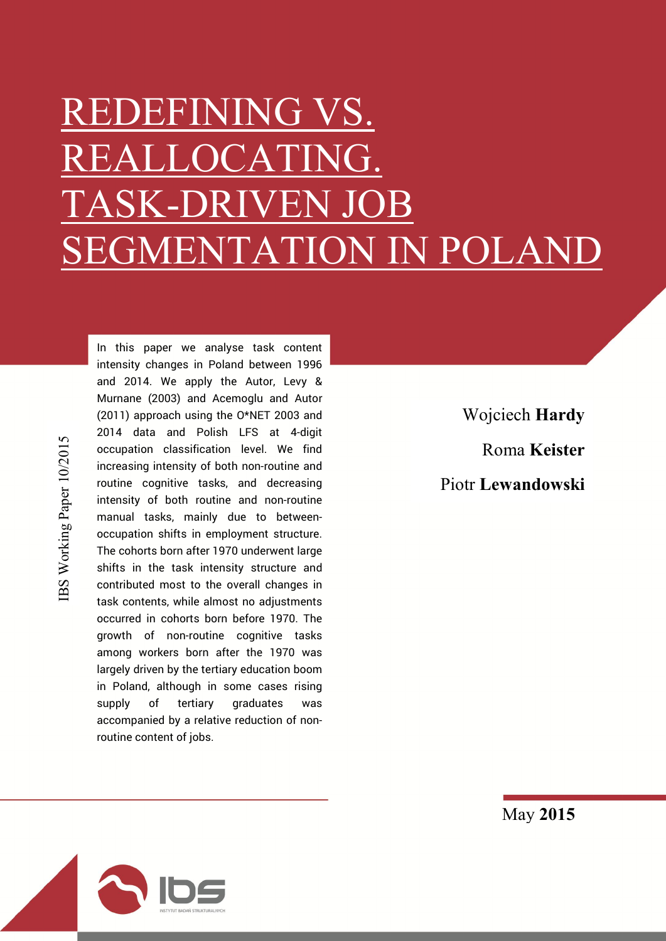# REDEFINING VS.  $C_{\rm{CAT}}$ TASK-DRIVEN SEGMENTATION IN POLANI

BS Working Paper 10/2015 IBS Working Paper 10/2015

In this paper we analyse task content intensity changes in Poland between 1996 and 2014. We apply the Autor, Levy & Murnane (2003) and Acemoglu and Autor (2011) approach using the O\*NET 2003 and 2014 data and Polish LFS at 4-digit occupation classification level. We find increasing intensity of both non-routine and routine cognitive tasks, and decreasing intensity of both routine and non-routine manual tasks, mainly due to betweenoccupation shifts in employment structure. The cohorts born after 1970 underwent large shifts in the task intensity structure and contributed most to the overall changes in task contents, while almost no adjustments occurred in cohorts born before 1970. The growth of non-routine cognitive tasks among workers born after the 1970 was largely driven by the tertiary education boom in Poland, although in some cases rising supply of tertiary graduates was accompanied by a relative reduction of nonroutine content of jobs.

Wojciech Hardy Roma Keister Piotr Lewandowski



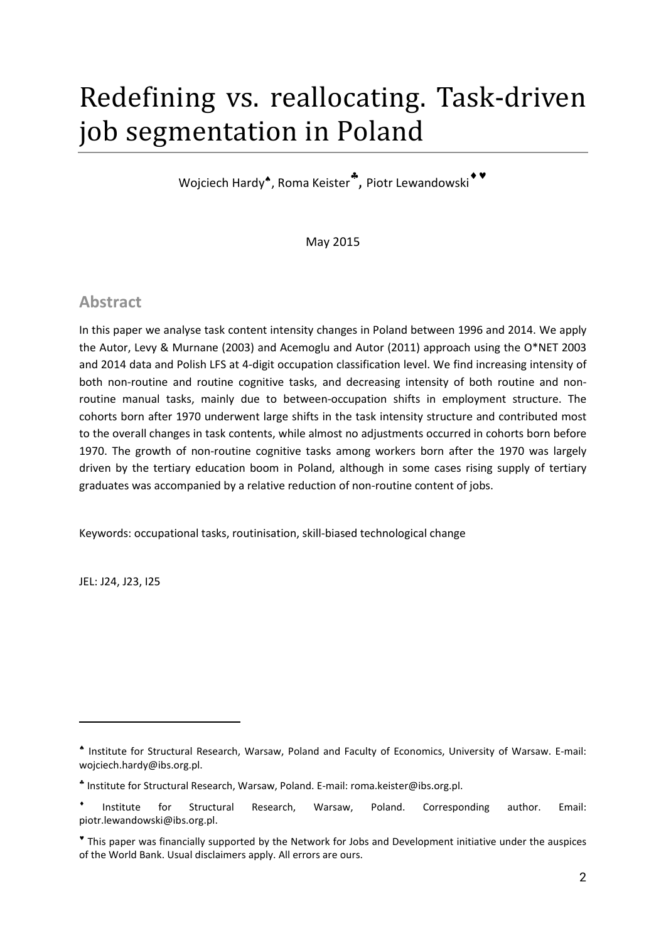## Redefining vs. reallocating. Task-driven job segmentation in Poland

Wojciech Hardy<sup>\*</sup>, Roma Keister<sup>\*</sup>, Piotr Lewandowski<sup>\*\*</sup>

May 2015

## **Abstract**

In this paper we analyse task content intensity changes in Poland between 1996 and 2014. We apply the Autor, Levy & Murnane (2003) and Acemoglu and Autor (2011) approach using the O\*NET 2003 and 2014 data and Polish LFS at 4-digit occupation classification level. We find increasing intensity of both non-routine and routine cognitive tasks, and decreasing intensity of both routine and nonroutine manual tasks, mainly due to between-occupation shifts in employment structure. The cohorts born after 1970 underwent large shifts in the task intensity structure and contributed most to the overall changes in task contents, while almost no adjustments occurred in cohorts born before 1970. The growth of non-routine cognitive tasks among workers born after the 1970 was largely driven by the tertiary education boom in Poland, although in some cases rising supply of tertiary graduates was accompanied by a relative reduction of non-routine content of jobs.

Keywords: occupational tasks, routinisation, skill-biased technological change

JEL: J24, J23, I25

 $\ddot{\phantom{a}}$ 

Institute for Structural Research, Warsaw, Poland and Faculty of Economics, University of Warsaw. E-mail: wojciech.hardy@ibs.org.pl.

Institute for Structural Research, Warsaw, Poland. E-mail: roma.keister@ibs.org.pl.

Institute for Structural Research, Warsaw, Poland. Corresponding author. Email: piotr.lewandowski@ibs.org.pl.

This paper was financially supported by the Network for Jobs and Development initiative under the auspices of the World Bank. Usual disclaimers apply. All errors are ours.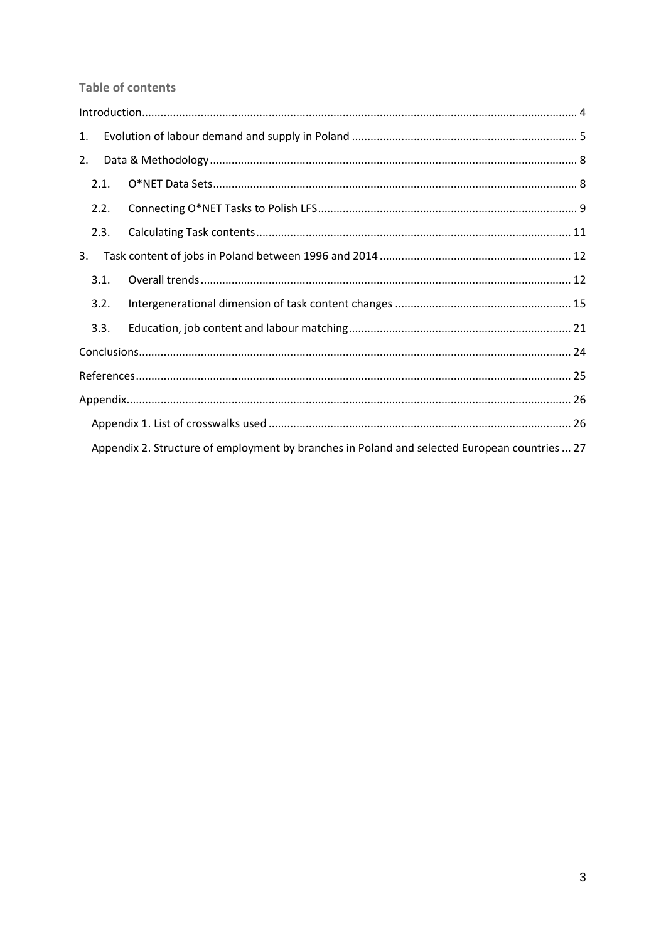**Table of contents** 

| 1. |      |                                                                                               |  |  |  |  |  |  |  |
|----|------|-----------------------------------------------------------------------------------------------|--|--|--|--|--|--|--|
| 2. |      |                                                                                               |  |  |  |  |  |  |  |
|    | 2.1. |                                                                                               |  |  |  |  |  |  |  |
|    | 2.2. |                                                                                               |  |  |  |  |  |  |  |
|    | 2.3. |                                                                                               |  |  |  |  |  |  |  |
| 3. |      |                                                                                               |  |  |  |  |  |  |  |
|    | 3.1. |                                                                                               |  |  |  |  |  |  |  |
|    | 3.2. |                                                                                               |  |  |  |  |  |  |  |
|    | 3.3. |                                                                                               |  |  |  |  |  |  |  |
|    |      |                                                                                               |  |  |  |  |  |  |  |
|    |      |                                                                                               |  |  |  |  |  |  |  |
|    |      |                                                                                               |  |  |  |  |  |  |  |
|    |      |                                                                                               |  |  |  |  |  |  |  |
|    |      | Appendix 2. Structure of employment by branches in Poland and selected European countries  27 |  |  |  |  |  |  |  |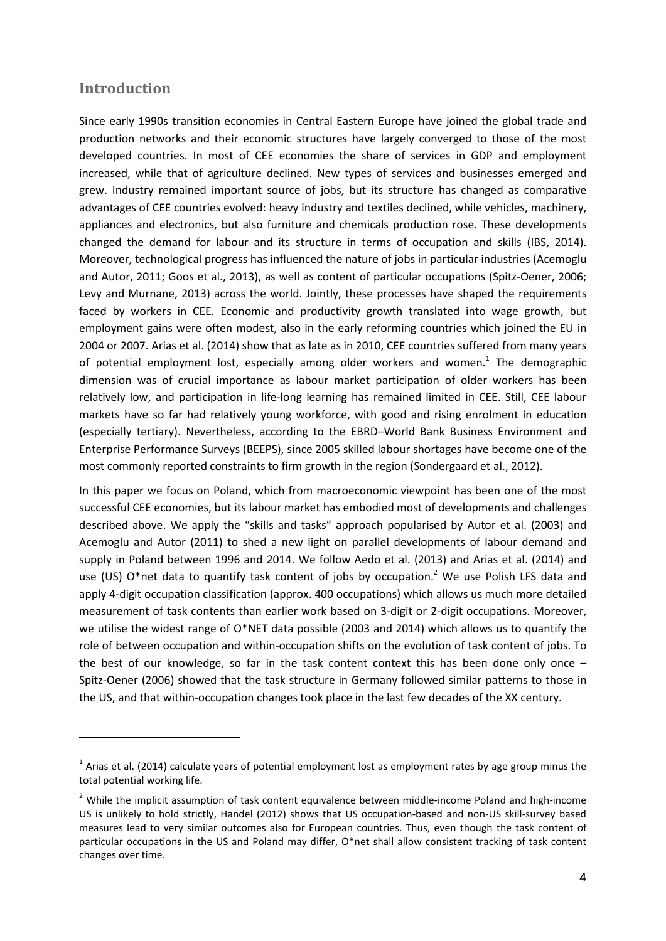#### **Introduction**

 $\overline{a}$ 

Since early 1990s transition economies in Central Eastern Europe have joined the global trade and production networks and their economic structures have largely converged to those of the most developed countries. In most of CEE economies the share of services in GDP and employment increased, while that of agriculture declined. New types of services and businesses emerged and grew. Industry remained important source of jobs, but its structure has changed as comparative advantages of CEE countries evolved: heavy industry and textiles declined, while vehicles, machinery, appliances and electronics, but also furniture and chemicals production rose. These developments changed the demand for labour and its structure in terms of occupation and skills (IBS, 2014). Moreover, technological progress has influenced the nature of jobs in particular industries (Acemoglu and Autor, 2011; Goos et al., 2013), as well as content of particular occupations (Spitz-Oener, 2006; Levy and Murnane, 2013) across the world. Jointly, these processes have shaped the requirements faced by workers in CEE. Economic and productivity growth translated into wage growth, but employment gains were often modest, also in the early reforming countries which joined the EU in 2004 or 2007. Arias et al. (2014) show that as late as in 2010, CEE countries suffered from many years of potential employment lost, especially among older workers and women.<sup>1</sup> The demographic dimension was of crucial importance as labour market participation of older workers has been relatively low, and participation in life-long learning has remained limited in CEE. Still, CEE labour markets have so far had relatively young workforce, with good and rising enrolment in education (especially tertiary). Nevertheless, according to the EBRD–World Bank Business Environment and Enterprise Performance Surveys (BEEPS), since 2005 skilled labour shortages have become one of the most commonly reported constraints to firm growth in the region (Sondergaard et al., 2012).

In this paper we focus on Poland, which from macroeconomic viewpoint has been one of the most successful CEE economies, but its labour market has embodied most of developments and challenges described above. We apply the "skills and tasks" approach popularised by Autor et al. (2003) and Acemoglu and Autor (2011) to shed a new light on parallel developments of labour demand and supply in Poland between 1996 and 2014. We follow Aedo et al. (2013) and Arias et al. (2014) and use (US) O\*net data to quantify task content of jobs by occupation.<sup>2</sup> We use Polish LFS data and apply 4-digit occupation classification (approx. 400 occupations) which allows us much more detailed measurement of task contents than earlier work based on 3-digit or 2-digit occupations. Moreover, we utilise the widest range of O\*NET data possible (2003 and 2014) which allows us to quantify the role of between occupation and within-occupation shifts on the evolution of task content of jobs. To the best of our knowledge, so far in the task content context this has been done only once – Spitz-Oener (2006) showed that the task structure in Germany followed similar patterns to those in the US, and that within-occupation changes took place in the last few decades of the XX century.

 $1$  Arias et al. (2014) calculate years of potential employment lost as employment rates by age group minus the total potential working life.

<sup>&</sup>lt;sup>2</sup> While the implicit assumption of task content equivalence between middle-income Poland and high-income US is unlikely to hold strictly, Handel (2012) shows that US occupation-based and non-US skill-survey based measures lead to very similar outcomes also for European countries. Thus, even though the task content of particular occupations in the US and Poland may differ, O\*net shall allow consistent tracking of task content changes over time.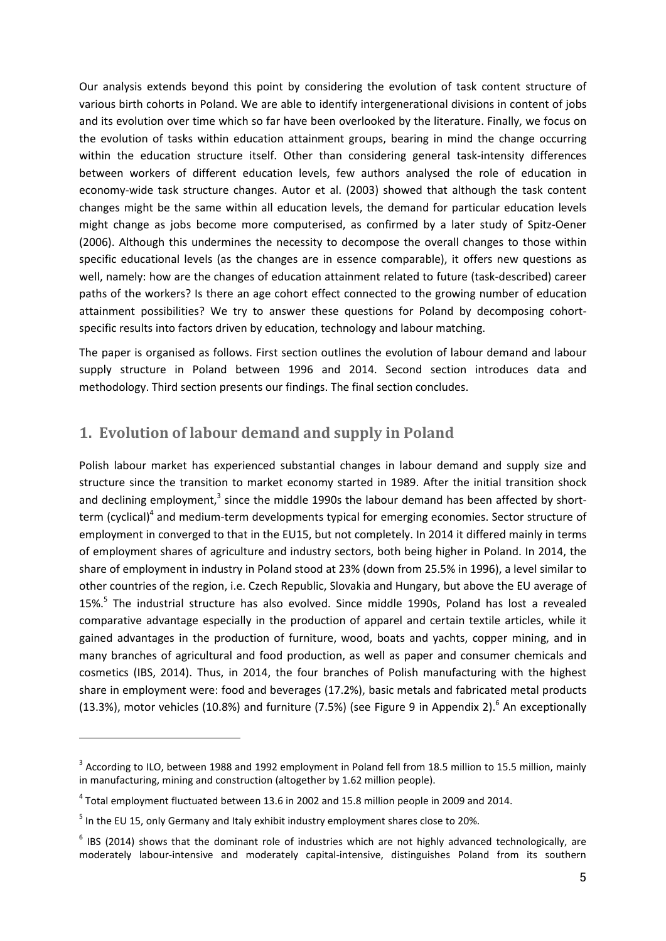Our analysis extends beyond this point by considering the evolution of task content structure of various birth cohorts in Poland. We are able to identify intergenerational divisions in content of jobs and its evolution over time which so far have been overlooked by the literature. Finally, we focus on the evolution of tasks within education attainment groups, bearing in mind the change occurring within the education structure itself. Other than considering general task-intensity differences between workers of different education levels, few authors analysed the role of education in economy-wide task structure changes. Autor et al. (2003) showed that although the task content changes might be the same within all education levels, the demand for particular education levels might change as jobs become more computerised, as confirmed by a later study of Spitz-Oener (2006). Although this undermines the necessity to decompose the overall changes to those within specific educational levels (as the changes are in essence comparable), it offers new questions as well, namely: how are the changes of education attainment related to future (task-described) career paths of the workers? Is there an age cohort effect connected to the growing number of education attainment possibilities? We try to answer these questions for Poland by decomposing cohortspecific results into factors driven by education, technology and labour matching.

The paper is organised as follows. First section outlines the evolution of labour demand and labour supply structure in Poland between 1996 and 2014. Second section introduces data and methodology. Third section presents our findings. The final section concludes.

## **1. Evolution of labour demand and supply in Poland**

Polish labour market has experienced substantial changes in labour demand and supply size and structure since the transition to market economy started in 1989. After the initial transition shock and declining employment, $3$  since the middle 1990s the labour demand has been affected by shortterm (cyclical)<sup>4</sup> and medium-term developments typical for emerging economies. Sector structure of employment in converged to that in the EU15, but not completely. In 2014 it differed mainly in terms of employment shares of agriculture and industry sectors, both being higher in Poland. In 2014, the share of employment in industry in Poland stood at 23% (down from 25.5% in 1996), a level similar to other countries of the region, i.e. Czech Republic, Slovakia and Hungary, but above the EU average of 15%.<sup>5</sup> The industrial structure has also evolved. Since middle 1990s, Poland has lost a revealed comparative advantage especially in the production of apparel and certain textile articles, while it gained advantages in the production of furniture, wood, boats and yachts, copper mining, and in many branches of agricultural and food production, as well as paper and consumer chemicals and cosmetics (IBS, 2014). Thus, in 2014, the four branches of Polish manufacturing with the highest share in employment were: food and beverages (17.2%), basic metals and fabricated metal products (13.3%), motor vehicles (10.8%) and furniture (7.5%) (see Figure 9 in Appendix 2).<sup>6</sup> An exceptionally

 $\ddot{\phantom{a}}$ 

<sup>&</sup>lt;sup>3</sup> According to ILO, between 1988 and 1992 employment in Poland fell from 18.5 million to 15.5 million, mainly in manufacturing, mining and construction (altogether by 1.62 million people).

<sup>4</sup> Total employment fluctuated between 13.6 in 2002 and 15.8 million people in 2009 and 2014.

 $<sup>5</sup>$  In the EU 15, only Germany and Italy exhibit industry employment shares close to 20%.</sup>

 $6$  IBS (2014) shows that the dominant role of industries which are not highly advanced technologically, are moderately labour-intensive and moderately capital-intensive, distinguishes Poland from its southern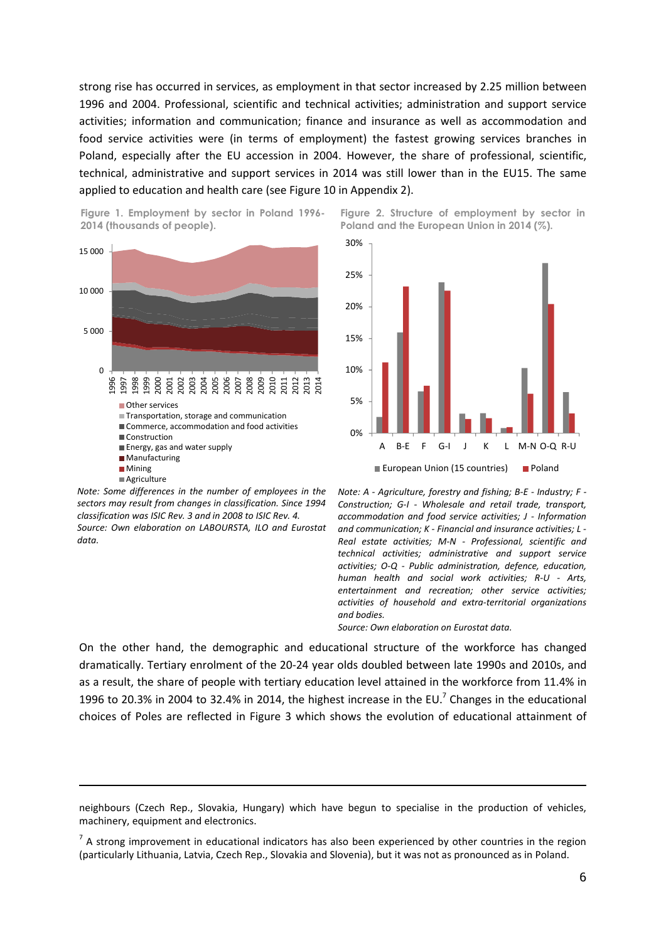strong rise has occurred in services, as employment in that sector increased by 2.25 million between 1996 and 2004. Professional, scientific and technical activities; administration and support service activities; information and communication; finance and insurance as well as accommodation and food service activities were (in terms of employment) the fastest growing services branches in Poland, especially after the EU accession in 2004. However, the share of professional, scientific, technical, administrative and support services in 2014 was still lower than in the EU15. The same applied to education and health care (see Figure 10 in Appendix 2).





*Note: Some differences in the number of employees in the sectors may result from changes in classification. Since 1994 classification was ISIC Rev. 3 and in 2008 to ISIC Rev. 4. Source: Own elaboration on LABOURSTA, ILO and Eurostat data.*

 $\overline{a}$ 





*Note: A - Agriculture, forestry and fishing; B-E - Industry; F - Construction; G-I - Wholesale and retail trade, transport, accommodation and food service activities; J - Information and communication; K - Financial and insurance activities; L - Real estate activities; M-N - Professional, scientific and technical activities; administrative and support service activities; O-Q - Public administration, defence, education, human health and social work activities; R-U - Arts, entertainment and recreation; other service activities; activities of household and extra-territorial organizations and bodies.*

*Source: Own elaboration on Eurostat data.*

On the other hand, the demographic and educational structure of the workforce has changed dramatically. Tertiary enrolment of the 20-24 year olds doubled between late 1990s and 2010s, and as a result, the share of people with tertiary education level attained in the workforce from 11.4% in 1996 to 20.3% in 2004 to 32.4% in 2014, the highest increase in the EU.<sup>7</sup> Changes in the educational choices of Poles are reflected in Figure 3 which shows the evolution of educational attainment of

neighbours (Czech Rep., Slovakia, Hungary) which have begun to specialise in the production of vehicles, machinery, equipment and electronics.

 $<sup>7</sup>$  A strong improvement in educational indicators has also been experienced by other countries in the region</sup> (particularly Lithuania, Latvia, Czech Rep., Slovakia and Slovenia), but it was not as pronounced as in Poland.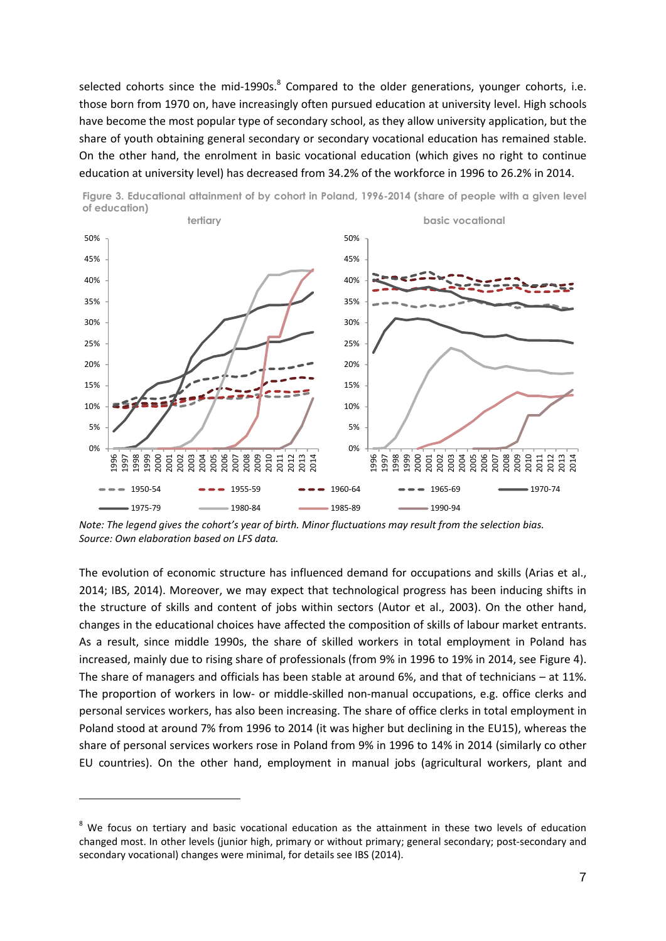selected cohorts since the mid-1990s. $8$  Compared to the older generations, younger cohorts, i.e. those born from 1970 on, have increasingly often pursued education at university level. High schools have become the most popular type of secondary school, as they allow university application, but the share of youth obtaining general secondary or secondary vocational education has remained stable. On the other hand, the enrolment in basic vocational education (which gives no right to continue education at university level) has decreased from 34.2% of the workforce in 1996 to 26.2% in 2014.



Figure 3. Educational attainment of by cohort in Poland, 1996-2014 (share of people with a given level of education)

*Note: The legend gives the cohort's year of birth. Minor fluctuations may result from the selection bias. Source: Own elaboration based on LFS data.*

The evolution of economic structure has influenced demand for occupations and skills (Arias et al., 2014; IBS, 2014). Moreover, we may expect that technological progress has been inducing shifts in the structure of skills and content of jobs within sectors (Autor et al., 2003). On the other hand, changes in the educational choices have affected the composition of skills of labour market entrants. As a result, since middle 1990s, the share of skilled workers in total employment in Poland has increased, mainly due to rising share of professionals (from 9% in 1996 to 19% in 2014, see Figure 4). The share of managers and officials has been stable at around 6%, and that of technicians – at 11%. The proportion of workers in low- or middle-skilled non-manual occupations, e.g. office clerks and personal services workers, has also been increasing. The share of office clerks in total employment in Poland stood at around 7% from 1996 to 2014 (it was higher but declining in the EU15), whereas the share of personal services workers rose in Poland from 9% in 1996 to 14% in 2014 (similarly co other EU countries). On the other hand, employment in manual jobs (agricultural workers, plant and

 $\ddot{\phantom{a}}$ 

 $8$  We focus on tertiary and basic vocational education as the attainment in these two levels of education changed most. In other levels (junior high, primary or without primary; general secondary; post-secondary and secondary vocational) changes were minimal, for details see IBS (2014).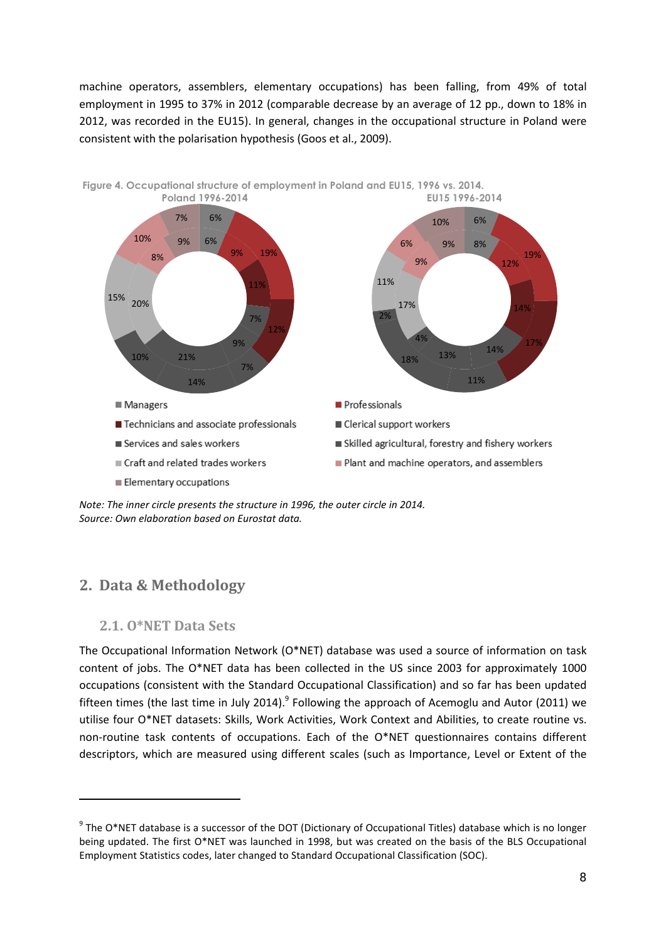machine operators, assemblers, elementary occupations) has been falling, from 49% of total employment in 1995 to 37% in 2012 (comparable decrease by an average of 12 pp., down to 18% in 2012, was recorded in the EU15). In general, changes in the occupational structure in Poland were consistent with the polarisation hypothesis (Goos et al., 2009).



*Note: The inner circle presents the structure in 1996, the outer circle in 2014. Source: Own elaboration based on Eurostat data.*

## **2. Data & Methodology**

#### **2.1. O\*NET Data Sets**

**.** 

The Occupational Information Network (O\*NET) database was used a source of information on task content of jobs. The O\*NET data has been collected in the US since 2003 for approximately 1000 occupations (consistent with the Standard Occupational Classification) and so far has been updated fifteen times (the last time in July 2014).<sup>9</sup> Following the approach of Acemoglu and Autor (2011) we utilise four O\*NET datasets: Skills, Work Activities, Work Context and Abilities, to create routine vs. non-routine task contents of occupations. Each of the O\*NET questionnaires contains different descriptors, which are measured using different scales (such as Importance, Level or Extent of the

 $9$  The O\*NET database is a successor of the DOT (Dictionary of Occupational Titles) database which is no longer being updated. The first O\*NET was launched in 1998, but was created on the basis of the BLS Occupational Employment Statistics codes, later changed to Standard Occupational Classification (SOC).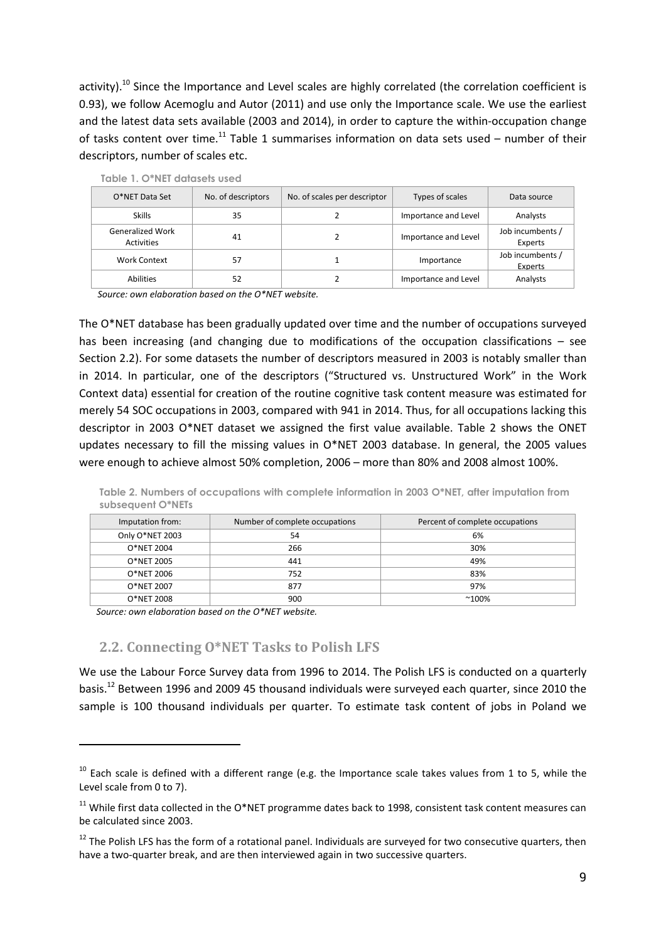activity).<sup>10</sup> Since the Importance and Level scales are highly correlated (the correlation coefficient is 0.93), we follow Acemoglu and Autor (2011) and use only the Importance scale. We use the earliest and the latest data sets available (2003 and 2014), in order to capture the within-occupation change of tasks content over time.<sup>11</sup> Table 1 summarises information on data sets used – number of their descriptors, number of scales etc.

| O*NET Data Set                               | No. of descriptors | No. of scales per descriptor | Types of scales      | Data source                 |
|----------------------------------------------|--------------------|------------------------------|----------------------|-----------------------------|
| <b>Skills</b>                                | 35                 |                              | Importance and Level | Analysts                    |
| <b>Generalized Work</b><br><b>Activities</b> | 41                 |                              | Importance and Level | Job incumbents /<br>Experts |
| Work Context                                 | 57                 |                              | Importance           | Job incumbents /<br>Experts |
| <b>Abilities</b>                             | 52                 |                              | Importance and Level | Analysts                    |

Table 1. O\*NET datasets used

*Source: own elaboration based on the O\*NET website.*

The O\*NET database has been gradually updated over time and the number of occupations surveyed has been increasing (and changing due to modifications of the occupation classifications – see Section 2.2). For some datasets the number of descriptors measured in 2003 is notably smaller than in 2014. In particular, one of the descriptors ("Structured vs. Unstructured Work" in the Work Context data) essential for creation of the routine cognitive task content measure was estimated for merely 54 SOC occupations in 2003, compared with 941 in 2014. Thus, for all occupations lacking this descriptor in 2003 O\*NET dataset we assigned the first value available. Table 2 shows the ONET updates necessary to fill the missing values in O\*NET 2003 database. In general, the 2005 values were enough to achieve almost 50% completion, 2006 – more than 80% and 2008 almost 100%.

|                   | Table 2. Numbers of occupations with complete information in 2003 O*NET, after imputation from |  |  |  |  |  |
|-------------------|------------------------------------------------------------------------------------------------|--|--|--|--|--|
| subsequent O*NETs |                                                                                                |  |  |  |  |  |

| Imputation from: | Number of complete occupations | Percent of complete occupations |
|------------------|--------------------------------|---------------------------------|
| Only O*NET 2003  | 54                             | 6%                              |
| O*NET 2004       | 266                            | 30%                             |
| O*NET 2005       | 441                            | 49%                             |
| O*NET 2006       | 752                            | 83%                             |
| O*NET 2007       | 877                            | 97%                             |
| O*NET 2008       | 900                            | $^{\sim}100\%$                  |

*Source: own elaboration based on the O\*NET website.*

 $\ddot{\phantom{a}}$ 

#### **2.2. Connecting O\*NET Tasks to Polish LFS**

We use the Labour Force Survey data from 1996 to 2014. The Polish LFS is conducted on a quarterly basis.12 Between 1996 and 2009 45 thousand individuals were surveyed each quarter, since 2010 the sample is 100 thousand individuals per quarter. To estimate task content of jobs in Poland we

 $10$  Each scale is defined with a different range (e.g. the Importance scale takes values from 1 to 5, while the Level scale from 0 to 7).

 $11$  While first data collected in the O\*NET programme dates back to 1998, consistent task content measures can be calculated since 2003.

<sup>&</sup>lt;sup>12</sup> The Polish LFS has the form of a rotational panel. Individuals are surveyed for two consecutive quarters, then have a two-quarter break, and are then interviewed again in two successive quarters.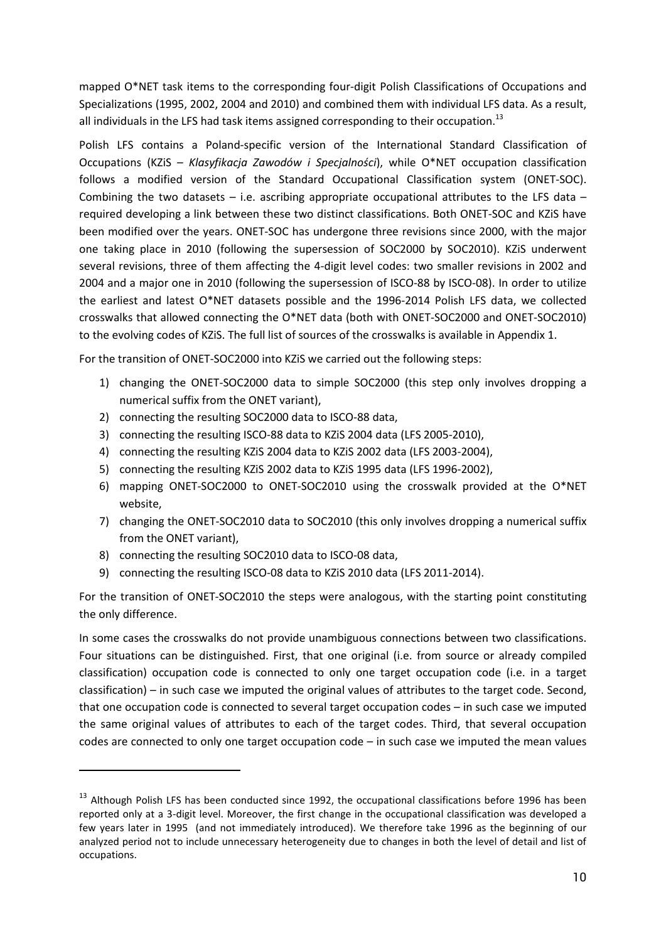mapped O\*NET task items to the corresponding four-digit Polish Classifications of Occupations and Specializations (1995, 2002, 2004 and 2010) and combined them with individual LFS data. As a result, all individuals in the LFS had task items assigned corresponding to their occupation.<sup>13</sup>

Polish LFS contains a Poland-specific version of the International Standard Classification of Occupations (KZiS – *Klasyfikacja Zawodów i Specjalności*), while O\*NET occupation classification follows a modified version of the Standard Occupational Classification system (ONET-SOC). Combining the two datasets  $-$  i.e. ascribing appropriate occupational attributes to the LFS data  $$ required developing a link between these two distinct classifications. Both ONET-SOC and KZiS have been modified over the years. ONET-SOC has undergone three revisions since 2000, with the major one taking place in 2010 (following the supersession of SOC2000 by SOC2010). KZiS underwent several revisions, three of them affecting the 4-digit level codes: two smaller revisions in 2002 and 2004 and a major one in 2010 (following the supersession of ISCO-88 by ISCO-08). In order to utilize the earliest and latest O\*NET datasets possible and the 1996-2014 Polish LFS data, we collected crosswalks that allowed connecting the O\*NET data (both with ONET-SOC2000 and ONET-SOC2010) to the evolving codes of KZiS. The full list of sources of the crosswalks is available in Appendix 1.

For the transition of ONET-SOC2000 into KZiS we carried out the following steps:

- 1) changing the ONET-SOC2000 data to simple SOC2000 (this step only involves dropping a numerical suffix from the ONET variant),
- 2) connecting the resulting SOC2000 data to ISCO-88 data,
- 3) connecting the resulting ISCO-88 data to KZiS 2004 data (LFS 2005-2010),
- 4) connecting the resulting KZiS 2004 data to KZiS 2002 data (LFS 2003-2004),
- 5) connecting the resulting KZiS 2002 data to KZiS 1995 data (LFS 1996-2002),
- 6) mapping ONET-SOC2000 to ONET-SOC2010 using the crosswalk provided at the O\*NET website,
- 7) changing the ONET-SOC2010 data to SOC2010 (this only involves dropping a numerical suffix from the ONET variant),
- 8) connecting the resulting SOC2010 data to ISCO-08 data,

 $\overline{a}$ 

9) connecting the resulting ISCO-08 data to KZiS 2010 data (LFS 2011-2014).

For the transition of ONET-SOC2010 the steps were analogous, with the starting point constituting the only difference.

In some cases the crosswalks do not provide unambiguous connections between two classifications. Four situations can be distinguished. First, that one original (i.e. from source or already compiled classification) occupation code is connected to only one target occupation code (i.e. in a target classification) – in such case we imputed the original values of attributes to the target code. Second, that one occupation code is connected to several target occupation codes – in such case we imputed the same original values of attributes to each of the target codes. Third, that several occupation codes are connected to only one target occupation code – in such case we imputed the mean values

<sup>&</sup>lt;sup>13</sup> Although Polish LFS has been conducted since 1992, the occupational classifications before 1996 has been reported only at a 3-digit level. Moreover, the first change in the occupational classification was developed a few years later in 1995 (and not immediately introduced). We therefore take 1996 as the beginning of our analyzed period not to include unnecessary heterogeneity due to changes in both the level of detail and list of occupations.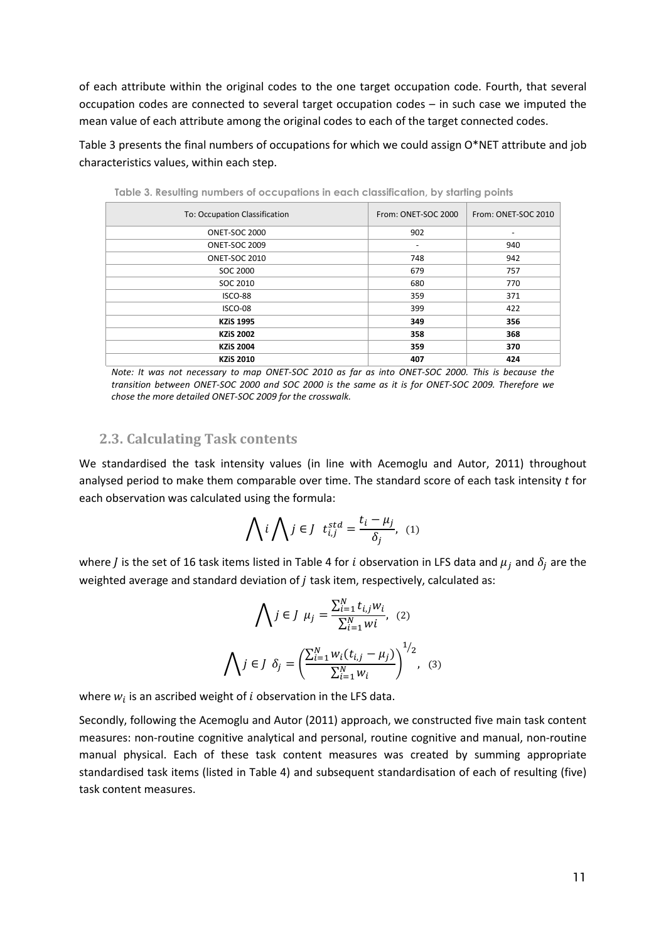of each attribute within the original codes to the one target occupation code. Fourth, that several occupation codes are connected to several target occupation codes – in such case we imputed the mean value of each attribute among the original codes to each of the target connected codes.

Table 3 presents the final numbers of occupations for which we could assign O\*NET attribute and job characteristics values, within each step.

| <u>i anis al izan alili di lini ina ali a a a a barialia ili a a ali alianishi alili ali a la dini ili di alili a</u> |                              |                     |  |  |  |  |  |
|-----------------------------------------------------------------------------------------------------------------------|------------------------------|---------------------|--|--|--|--|--|
| To: Occupation Classification                                                                                         | From: ONET-SOC 2000          | From: ONET-SOC 2010 |  |  |  |  |  |
| <b>ONET-SOC 2000</b>                                                                                                  | 902                          | -                   |  |  |  |  |  |
| <b>ONET-SOC 2009</b>                                                                                                  | $\qquad \qquad \blacksquare$ | 940                 |  |  |  |  |  |
| <b>ONET-SOC 2010</b>                                                                                                  | 748                          | 942                 |  |  |  |  |  |
| SOC 2000                                                                                                              | 679                          | 757                 |  |  |  |  |  |
| SOC 2010                                                                                                              | 680                          | 770                 |  |  |  |  |  |
| ISCO-88                                                                                                               | 359                          | 371                 |  |  |  |  |  |
| ISCO-08                                                                                                               | 399                          | 422                 |  |  |  |  |  |
| <b>KZiS 1995</b>                                                                                                      | 349                          | 356                 |  |  |  |  |  |
| <b>KZiS 2002</b>                                                                                                      | 358                          | 368                 |  |  |  |  |  |
| <b>KZiS 2004</b>                                                                                                      | 359                          | 370                 |  |  |  |  |  |
| <b>KZiS 2010</b>                                                                                                      | 407                          | 424                 |  |  |  |  |  |

Table 3. Resulting numbers of occupations in each classification, by starting points

*Note: It was not necessary to map ONET-SOC 2010 as far as into ONET-SOC 2000. This is because the transition between ONET-SOC 2000 and SOC 2000 is the same as it is for ONET-SOC 2009. Therefore we chose the more detailed ONET-SOC 2009 for the crosswalk.*

#### **2.3. Calculating Task contents**

We standardised the task intensity values (in line with Acemoglu and Autor, 2011) throughout analysed period to make them comparable over time. The standard score of each task intensity *t* for each observation was calculated using the formula:

$$
\bigwedge i \bigwedge j \in J \quad t_{i,j}^{std} = \frac{t_i - \mu_j}{\delta_j}, \quad (1)
$$

where *J* is the set of 16 task items listed in Table 4 for *i* observation in LFS data and  $\mu_i$  and  $\delta_i$  are the weighted average and standard deviation of *j* task item, respectively, calculated as:

$$
\bigwedge j \in J \mu_j = \frac{\sum_{i=1}^N t_{i,j} w_i}{\sum_{i=1}^N w_i}, \quad (2)
$$

$$
\bigwedge j \in J \delta_j = \left(\frac{\sum_{i=1}^N w_i (t_{i,j} - \mu_j)}{\sum_{i=1}^N w_i}\right)^{1/2}, \quad (3)
$$

where  $w_i$  is an ascribed weight of  $i$  observation in the LFS data.

Secondly, following the Acemoglu and Autor (2011) approach, we constructed five main task content measures: non-routine cognitive analytical and personal, routine cognitive and manual, non-routine manual physical. Each of these task content measures was created by summing appropriate standardised task items (listed in Table 4) and subsequent standardisation of each of resulting (five) task content measures.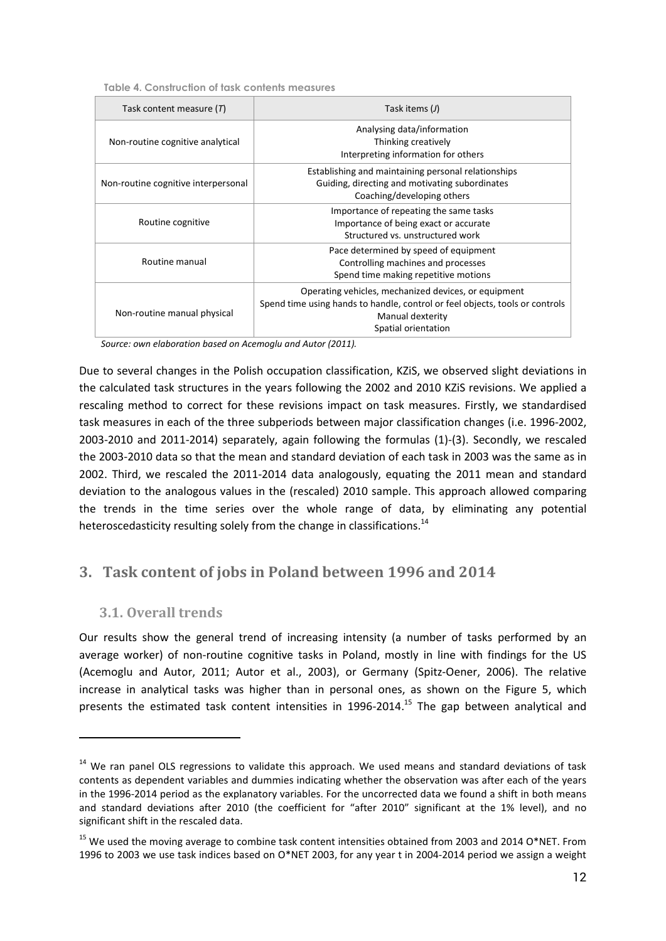| Task content measure $(T)$          | Task items $(J)$                                                                                                                                                                |
|-------------------------------------|---------------------------------------------------------------------------------------------------------------------------------------------------------------------------------|
| Non-routine cognitive analytical    | Analysing data/information<br>Thinking creatively<br>Interpreting information for others                                                                                        |
| Non-routine cognitive interpersonal | Establishing and maintaining personal relationships<br>Guiding, directing and motivating subordinates<br>Coaching/developing others                                             |
| Routine cognitive                   | Importance of repeating the same tasks<br>Importance of being exact or accurate<br>Structured vs. unstructured work                                                             |
| Routine manual                      | Pace determined by speed of equipment<br>Controlling machines and processes<br>Spend time making repetitive motions                                                             |
| Non-routine manual physical         | Operating vehicles, mechanized devices, or equipment<br>Spend time using hands to handle, control or feel objects, tools or controls<br>Manual dexterity<br>Spatial orientation |

*Source: own elaboration based on Acemoglu and Autor (2011).*

Due to several changes in the Polish occupation classification, KZiS, we observed slight deviations in the calculated task structures in the years following the 2002 and 2010 KZiS revisions. We applied a rescaling method to correct for these revisions impact on task measures. Firstly, we standardised task measures in each of the three subperiods between major classification changes (i.e. 1996-2002, 2003-2010 and 2011-2014) separately, again following the formulas (1)-(3). Secondly, we rescaled the 2003-2010 data so that the mean and standard deviation of each task in 2003 was the same as in 2002. Third, we rescaled the 2011-2014 data analogously, equating the 2011 mean and standard deviation to the analogous values in the (rescaled) 2010 sample. This approach allowed comparing the trends in the time series over the whole range of data, by eliminating any potential heteroscedasticity resulting solely from the change in classifications.<sup>14</sup>

## **3. Task content of jobs in Poland between 1996 and 2014**

#### **3.1. Overall trends**

 $\overline{a}$ 

Our results show the general trend of increasing intensity (a number of tasks performed by an average worker) of non-routine cognitive tasks in Poland, mostly in line with findings for the US (Acemoglu and Autor, 2011; Autor et al., 2003), or Germany (Spitz-Oener, 2006). The relative increase in analytical tasks was higher than in personal ones, as shown on the Figure 5, which presents the estimated task content intensities in 1996-2014.<sup>15</sup> The gap between analytical and

<sup>&</sup>lt;sup>14</sup> We ran panel OLS regressions to validate this approach. We used means and standard deviations of task contents as dependent variables and dummies indicating whether the observation was after each of the years in the 1996-2014 period as the explanatory variables. For the uncorrected data we found a shift in both means and standard deviations after 2010 (the coefficient for "after 2010" significant at the 1% level), and no significant shift in the rescaled data.

<sup>&</sup>lt;sup>15</sup> We used the moving average to combine task content intensities obtained from 2003 and 2014 O\*NET. From 1996 to 2003 we use task indices based on O\*NET 2003, for any year t in 2004-2014 period we assign a weight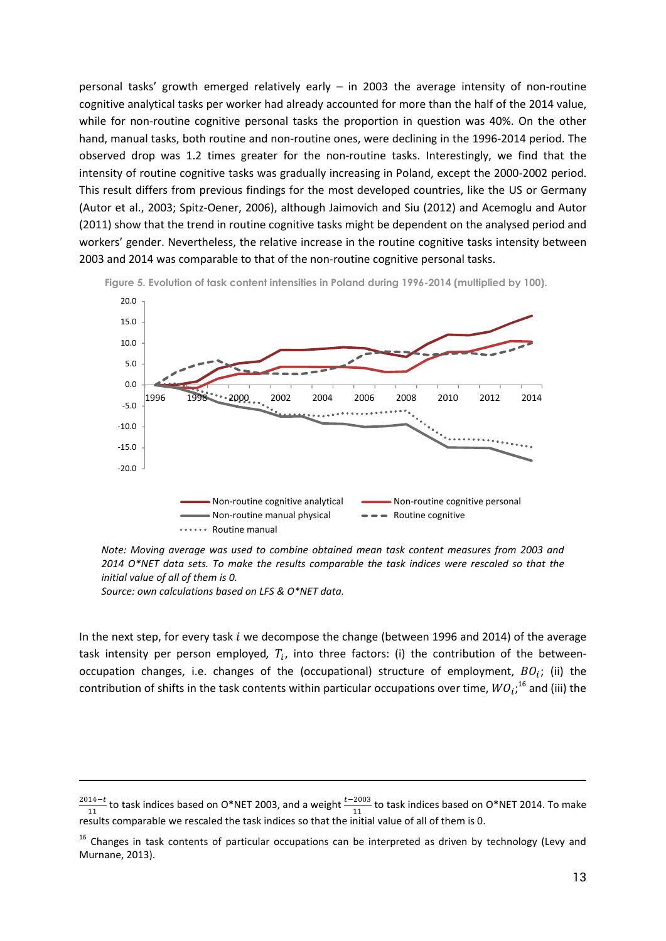personal tasks' growth emerged relatively early – in 2003 the average intensity of non-routine cognitive analytical tasks per worker had already accounted for more than the half of the 2014 value, while for non-routine cognitive personal tasks the proportion in question was 40%. On the other hand, manual tasks, both routine and non-routine ones, were declining in the 1996-2014 period. The observed drop was 1.2 times greater for the non-routine tasks. Interestingly, we find that the intensity of routine cognitive tasks was gradually increasing in Poland, except the 2000-2002 period. This result differs from previous findings for the most developed countries, like the US or Germany (Autor et al., 2003; Spitz-Oener, 2006), although Jaimovich and Siu (2012) and Acemoglu and Autor (2011) show that the trend in routine cognitive tasks might be dependent on the analysed period and workers' gender. Nevertheless, the relative increase in the routine cognitive tasks intensity between 2003 and 2014 was comparable to that of the non-routine cognitive personal tasks.



Figure 5. Evolution of task content intensities in Poland during 1996-2014 (multiplied by 100).

*Note: Moving average was used to combine obtained mean task content measures from 2003 and 2014 O\*NET data sets. To make the results comparable the task indices were rescaled so that the initial value of all of them is 0.*

*Source: own calculations based on LFS & O\*NET data.*

 $\overline{a}$ 

In the next step, for every task  $i$  we decompose the change (between 1996 and 2014) of the average task intensity per person employed,  $T_i$ , into three factors: (i) the contribution of the betweenoccupation changes, i.e. changes of the (occupational) structure of employment,  $BO_i$ ; (ii) the contribution of shifts in the task contents within particular occupations over time,  $WO_i; ^{16}$  and (iii) the

 $\frac{2014-t}{11}$  to task indices based on O\*NET 2003, and a weight  $\frac{t-2003}{11}$  to task indices based on O\*NET 2014. To make results comparable we rescaled the task indices so that the initial value of all of them is 0.

<sup>&</sup>lt;sup>16</sup> Changes in task contents of particular occupations can be interpreted as driven by technology (Levy and Murnane, 2013).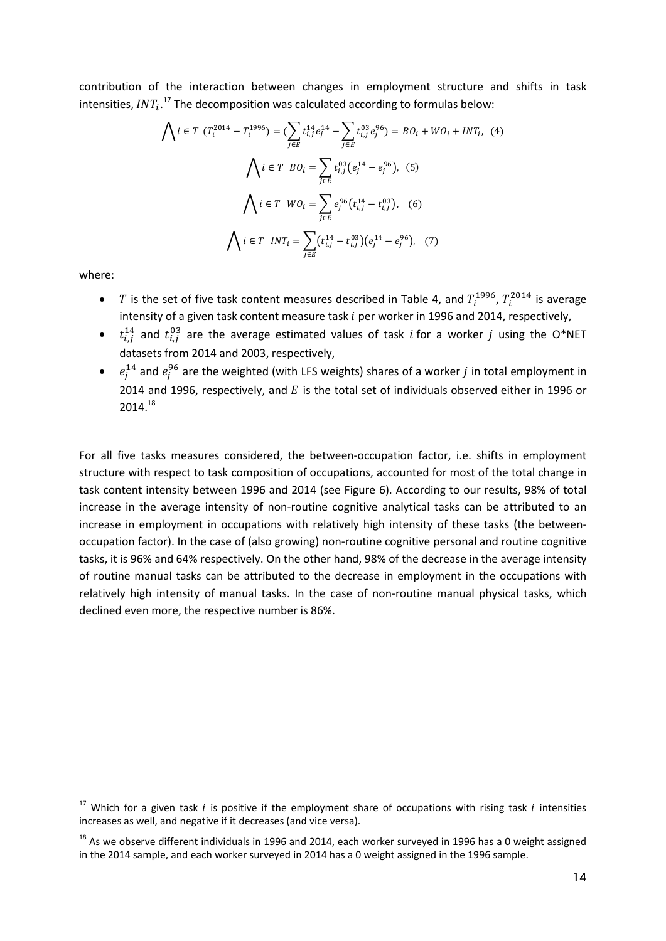contribution of the interaction between changes in employment structure and shifts in task intensities,  $INT_i$ .<sup>17</sup> The decomposition was calculated according to formulas below:

$$
\bigwedge i \in T \ (T_i^{2014} - T_i^{1996}) = \left(\sum_{j \in E} t_{i,j}^{14} e_j^{14} - \sum_{j \in E} t_{i,j}^{03} e_j^{96}\right) = BO_i + WO_i + INT_i, \tag{4}
$$
\n
$$
\bigwedge i \in T \ BO_i = \sum_{j \in E} t_{i,j}^{03} (e_j^{14} - e_j^{96}), \tag{5}
$$
\n
$$
\bigwedge i \in T \ WO_i = \sum_{j \in E} e_j^{96} (t_{i,j}^{14} - t_{i,j}^{03}), \tag{6}
$$
\n
$$
\bigwedge i \in T \ INT_i = \sum_{j \in E} (t_{i,j}^{14} - t_{i,j}^{03}) (e_j^{14} - e_j^{96}), \tag{7}
$$

where:

 $\overline{a}$ 

- T is the set of five task content measures described in Table 4, and  $T_i^{1996}$ ,  $T_i^{2014}$  is average intensity of a given task content measure task  $i$  per worker in 1996 and 2014, respectively,
- $t_{i,j}^{14}$  and  $t_{i,j}^{03}$  are the average estimated values of task *i* for a worker *j* using the O\*NET datasets from 2014 and 2003, respectively,
- $e_j^{14}$  and  $e_j^{96}$  are the weighted (with LFS weights) shares of a worker *j* in total employment in 2014 and 1996, respectively, and  $E$  is the total set of individuals observed either in 1996 or 2014. 18

For all five tasks measures considered, the between-occupation factor, i.e. shifts in employment structure with respect to task composition of occupations, accounted for most of the total change in task content intensity between 1996 and 2014 (see Figure 6). According to our results, 98% of total increase in the average intensity of non-routine cognitive analytical tasks can be attributed to an increase in employment in occupations with relatively high intensity of these tasks (the betweenoccupation factor). In the case of (also growing) non-routine cognitive personal and routine cognitive tasks, it is 96% and 64% respectively. On the other hand, 98% of the decrease in the average intensity of routine manual tasks can be attributed to the decrease in employment in the occupations with relatively high intensity of manual tasks. In the case of non-routine manual physical tasks, which declined even more, the respective number is 86%.

<sup>&</sup>lt;sup>17</sup> Which for a given task  $i$  is positive if the employment share of occupations with rising task  $i$  intensities increases as well, and negative if it decreases (and vice versa).

 $18$  As we observe different individuals in 1996 and 2014, each worker surveyed in 1996 has a 0 weight assigned in the 2014 sample, and each worker surveyed in 2014 has a 0 weight assigned in the 1996 sample.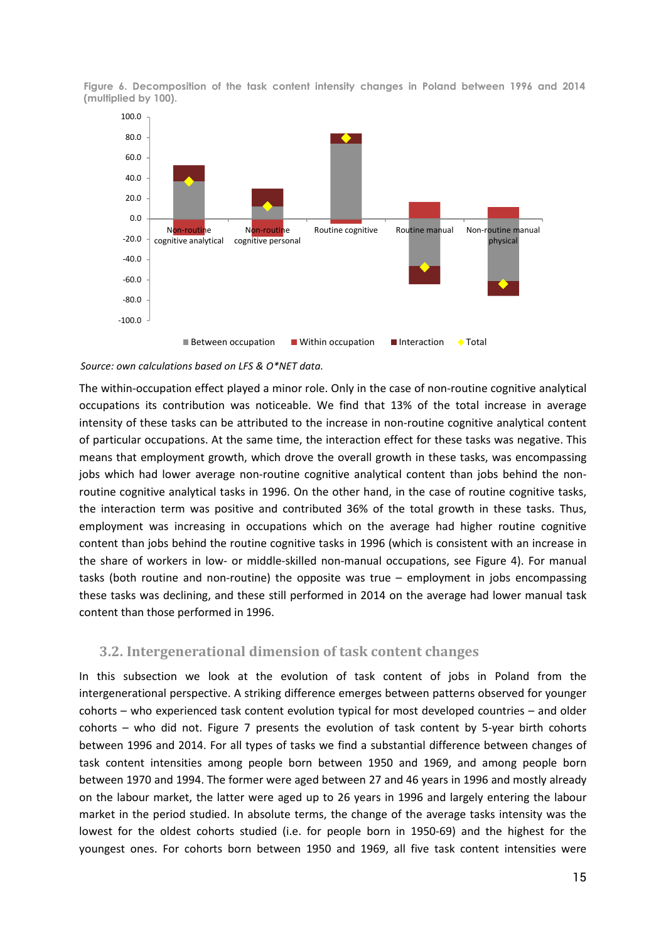Figure 6. Decomposition of the task content intensity changes in Poland between 1996 and 2014 (multiplied by 100).



#### *Source: own calculations based on LFS & O\*NET data.*

The within-occupation effect played a minor role. Only in the case of non-routine cognitive analytical occupations its contribution was noticeable. We find that 13% of the total increase in average intensity of these tasks can be attributed to the increase in non-routine cognitive analytical content of particular occupations. At the same time, the interaction effect for these tasks was negative. This means that employment growth, which drove the overall growth in these tasks, was encompassing jobs which had lower average non-routine cognitive analytical content than jobs behind the nonroutine cognitive analytical tasks in 1996. On the other hand, in the case of routine cognitive tasks, the interaction term was positive and contributed 36% of the total growth in these tasks. Thus, employment was increasing in occupations which on the average had higher routine cognitive content than jobs behind the routine cognitive tasks in 1996 (which is consistent with an increase in the share of workers in low- or middle-skilled non-manual occupations, see Figure 4). For manual tasks (both routine and non-routine) the opposite was true – employment in jobs encompassing these tasks was declining, and these still performed in 2014 on the average had lower manual task content than those performed in 1996.

#### **3.2. Intergenerational dimension of task content changes**

In this subsection we look at the evolution of task content of jobs in Poland from the intergenerational perspective. A striking difference emerges between patterns observed for younger cohorts – who experienced task content evolution typical for most developed countries – and older cohorts – who did not. Figure 7 presents the evolution of task content by 5-year birth cohorts between 1996 and 2014. For all types of tasks we find a substantial difference between changes of task content intensities among people born between 1950 and 1969, and among people born between 1970 and 1994. The former were aged between 27 and 46 years in 1996 and mostly already on the labour market, the latter were aged up to 26 years in 1996 and largely entering the labour market in the period studied. In absolute terms, the change of the average tasks intensity was the lowest for the oldest cohorts studied (i.e. for people born in 1950-69) and the highest for the youngest ones. For cohorts born between 1950 and 1969, all five task content intensities were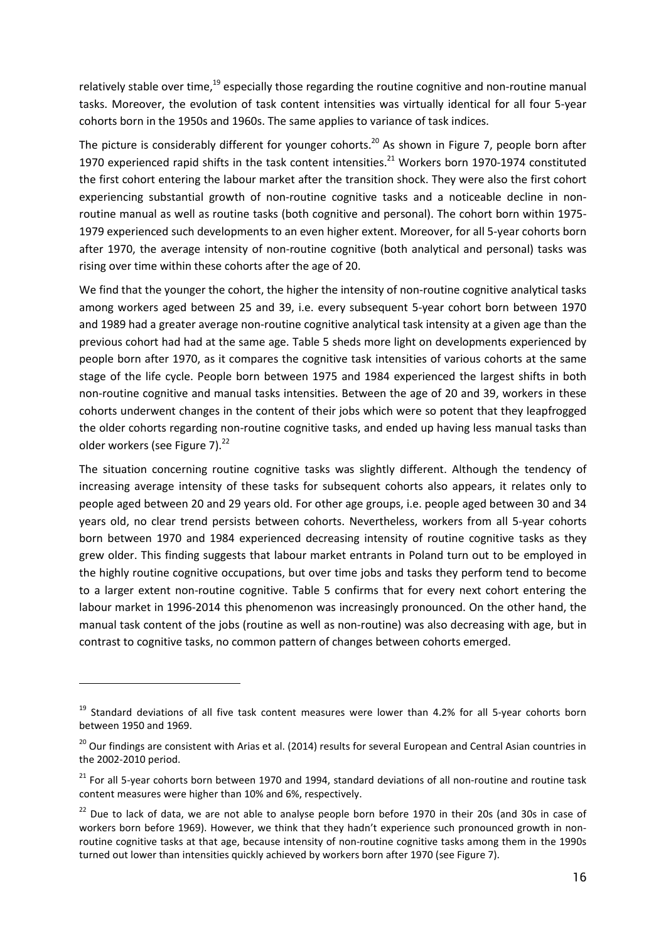relatively stable over time, $19$  especially those regarding the routine cognitive and non-routine manual tasks. Moreover, the evolution of task content intensities was virtually identical for all four 5-year cohorts born in the 1950s and 1960s. The same applies to variance of task indices.

The picture is considerably different for younger cohorts.<sup>20</sup> As shown in Figure 7, people born after 1970 experienced rapid shifts in the task content intensities.<sup>21</sup> Workers born 1970-1974 constituted the first cohort entering the labour market after the transition shock. They were also the first cohort experiencing substantial growth of non-routine cognitive tasks and a noticeable decline in nonroutine manual as well as routine tasks (both cognitive and personal). The cohort born within 1975- 1979 experienced such developments to an even higher extent. Moreover, for all 5-year cohorts born after 1970, the average intensity of non-routine cognitive (both analytical and personal) tasks was rising over time within these cohorts after the age of 20.

We find that the younger the cohort, the higher the intensity of non-routine cognitive analytical tasks among workers aged between 25 and 39, i.e. every subsequent 5-year cohort born between 1970 and 1989 had a greater average non-routine cognitive analytical task intensity at a given age than the previous cohort had had at the same age. Table 5 sheds more light on developments experienced by people born after 1970, as it compares the cognitive task intensities of various cohorts at the same stage of the life cycle. People born between 1975 and 1984 experienced the largest shifts in both non-routine cognitive and manual tasks intensities. Between the age of 20 and 39, workers in these cohorts underwent changes in the content of their jobs which were so potent that they leapfrogged the older cohorts regarding non-routine cognitive tasks, and ended up having less manual tasks than older workers (see Figure 7).<sup>22</sup>

The situation concerning routine cognitive tasks was slightly different. Although the tendency of increasing average intensity of these tasks for subsequent cohorts also appears, it relates only to people aged between 20 and 29 years old. For other age groups, i.e. people aged between 30 and 34 years old, no clear trend persists between cohorts. Nevertheless, workers from all 5-year cohorts born between 1970 and 1984 experienced decreasing intensity of routine cognitive tasks as they grew older. This finding suggests that labour market entrants in Poland turn out to be employed in the highly routine cognitive occupations, but over time jobs and tasks they perform tend to become to a larger extent non-routine cognitive. Table 5 confirms that for every next cohort entering the labour market in 1996-2014 this phenomenon was increasingly pronounced. On the other hand, the manual task content of the jobs (routine as well as non-routine) was also decreasing with age, but in contrast to cognitive tasks, no common pattern of changes between cohorts emerged.

 $\overline{a}$ 

<sup>&</sup>lt;sup>19</sup> Standard deviations of all five task content measures were lower than 4.2% for all 5-year cohorts born between 1950 and 1969.

<sup>&</sup>lt;sup>20</sup> Our findings are consistent with Arias et al. (2014) results for several European and Central Asian countries in the 2002-2010 period.

 $21$  For all 5-year cohorts born between 1970 and 1994, standard deviations of all non-routine and routine task content measures were higher than 10% and 6%, respectively.

<sup>&</sup>lt;sup>22</sup> Due to lack of data, we are not able to analyse people born before 1970 in their 20s (and 30s in case of workers born before 1969). However, we think that they hadn't experience such pronounced growth in nonroutine cognitive tasks at that age, because intensity of non-routine cognitive tasks among them in the 1990s turned out lower than intensities quickly achieved by workers born after 1970 (see Figure 7).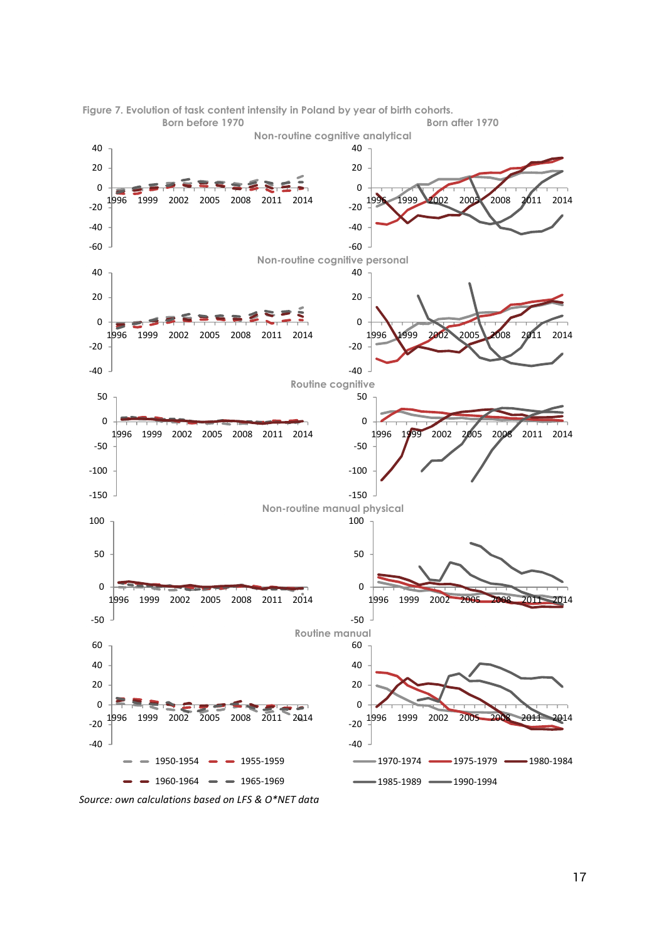



*Source: own calculations based on LFS & O\*NET data*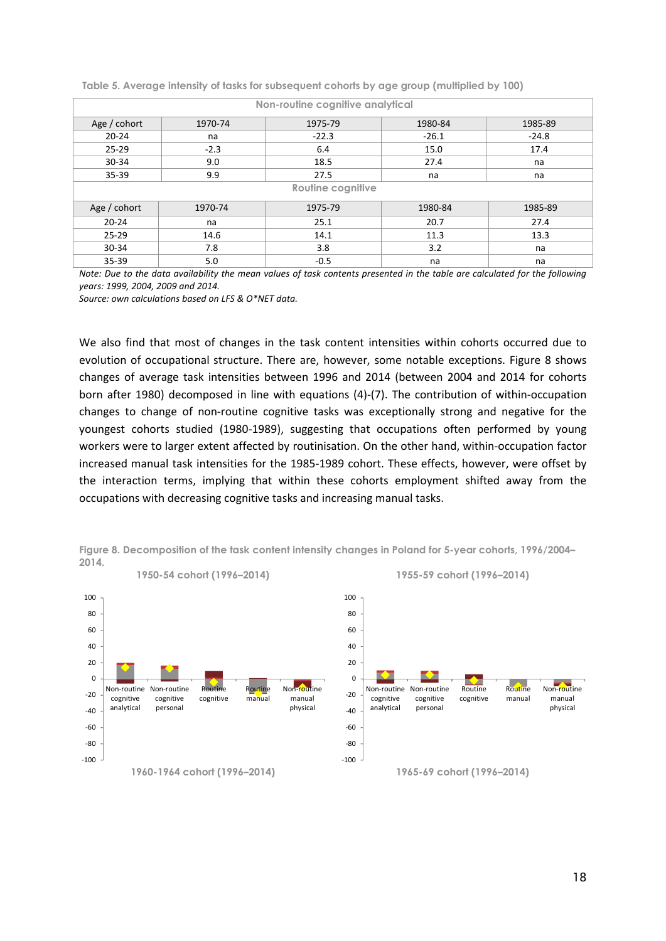| Non-routine cognitive analytical |                          |         |         |         |  |  |  |  |  |
|----------------------------------|--------------------------|---------|---------|---------|--|--|--|--|--|
| Age / cohort                     | 1970-74                  | 1975-79 | 1980-84 | 1985-89 |  |  |  |  |  |
| $20 - 24$                        | na                       | $-22.3$ | $-26.1$ | $-24.8$ |  |  |  |  |  |
| $25 - 29$                        | $-2.3$                   | 6.4     | 15.0    | 17.4    |  |  |  |  |  |
| 30-34                            | 9.0                      | 18.5    | 27.4    | na      |  |  |  |  |  |
| 35-39                            | 9.9                      | 27.5    | na      |         |  |  |  |  |  |
|                                  | <b>Routine cognitive</b> |         |         |         |  |  |  |  |  |
| Age / cohort                     | 1970-74                  | 1975-79 | 1980-84 | 1985-89 |  |  |  |  |  |
| $20 - 24$                        | na                       | 25.1    | 20.7    | 27.4    |  |  |  |  |  |
| $25 - 29$                        | 14.6                     | 14.1    | 11.3    | 13.3    |  |  |  |  |  |
| $30 - 34$                        | 7.8                      | 3.8     | 3.2     | na      |  |  |  |  |  |
| $35 - 39$                        | 5.0                      | $-0.5$  | na      | na      |  |  |  |  |  |

Table 5. Average intensity of tasks for subsequent cohorts by age group (multiplied by 100)

*Note: Due to the data availability the mean values of task contents presented in the table are calculated for the following years: 1999, 2004, 2009 and 2014.*

*Source: own calculations based on LFS & O\*NET data.*

We also find that most of changes in the task content intensities within cohorts occurred due to evolution of occupational structure. There are, however, some notable exceptions. Figure 8 shows changes of average task intensities between 1996 and 2014 (between 2004 and 2014 for cohorts born after 1980) decomposed in line with equations (4)-(7). The contribution of within-occupation changes to change of non-routine cognitive tasks was exceptionally strong and negative for the youngest cohorts studied (1980-1989), suggesting that occupations often performed by young workers were to larger extent affected by routinisation. On the other hand, within-occupation factor increased manual task intensities for the 1985-1989 cohort. These effects, however, were offset by the interaction terms, implying that within these cohorts employment shifted away from the occupations with decreasing cognitive tasks and increasing manual tasks.



Figure 8. Decomposition of the task content intensity changes in Poland for 5-year cohorts, 1996/2004– 2014.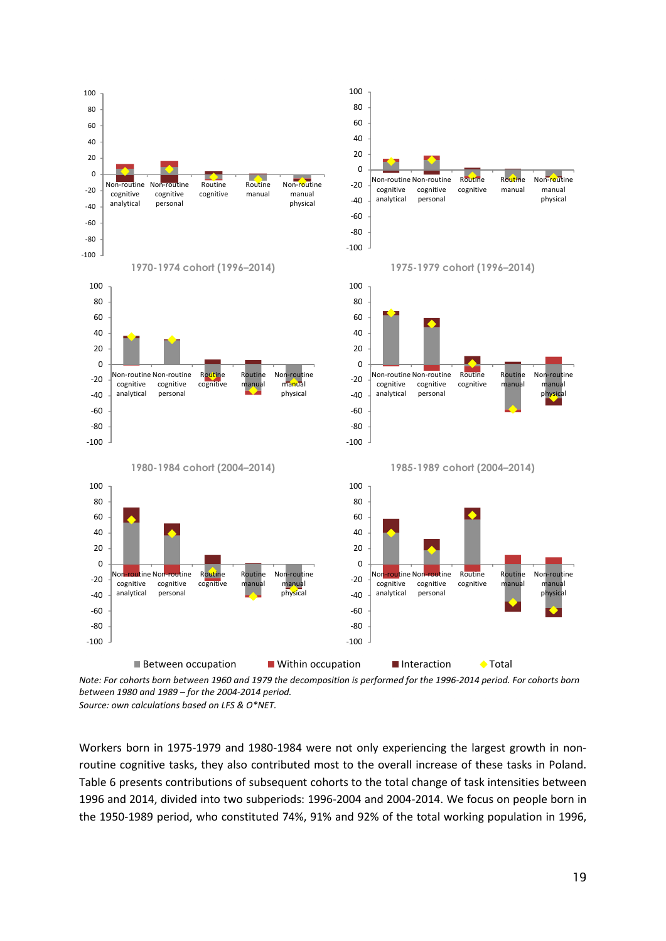

*Note: For cohorts born between 1960 and 1979 the decomposition is performed for the 1996-2014 period. For cohorts born between 1980 and 1989 – for the 2004-2014 period. Source: own calculations based on LFS & O\*NET.*

Workers born in 1975-1979 and 1980-1984 were not only experiencing the largest growth in nonroutine cognitive tasks, they also contributed most to the overall increase of these tasks in Poland. Table 6 presents contributions of subsequent cohorts to the total change of task intensities between 1996 and 2014, divided into two subperiods: 1996-2004 and 2004-2014. We focus on people born in the 1950-1989 period, who constituted 74%, 91% and 92% of the total working population in 1996,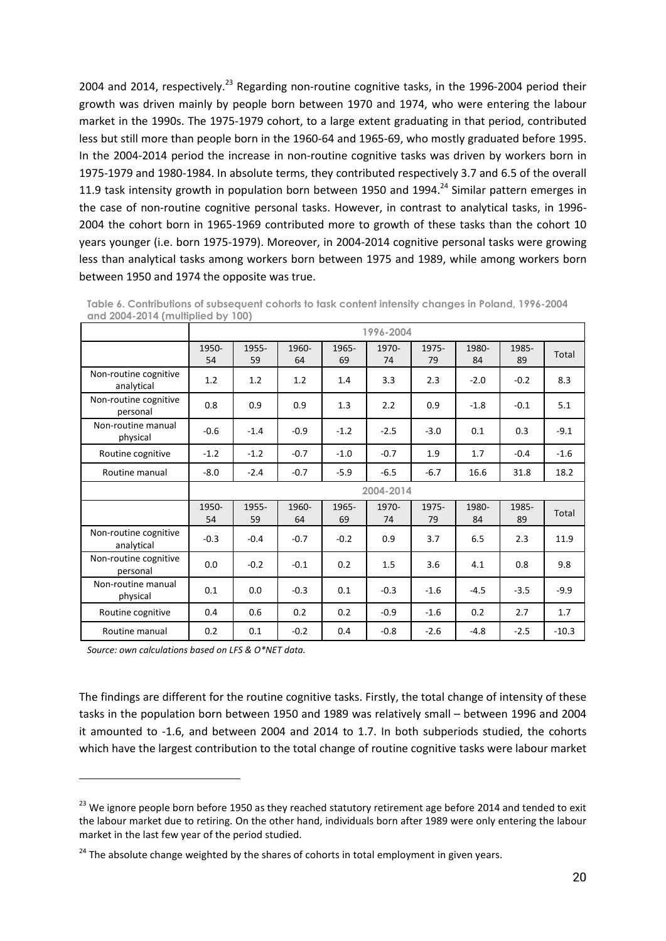2004 and 2014, respectively.<sup>23</sup> Regarding non-routine cognitive tasks, in the 1996-2004 period their growth was driven mainly by people born between 1970 and 1974, who were entering the labour market in the 1990s. The 1975-1979 cohort, to a large extent graduating in that period, contributed less but still more than people born in the 1960-64 and 1965-69, who mostly graduated before 1995. In the 2004-2014 period the increase in non-routine cognitive tasks was driven by workers born in 1975-1979 and 1980-1984. In absolute terms, they contributed respectively 3.7 and 6.5 of the overall 11.9 task intensity growth in population born between 1950 and 1994.<sup>24</sup> Similar pattern emerges in the case of non-routine cognitive personal tasks. However, in contrast to analytical tasks, in 1996- 2004 the cohort born in 1965-1969 contributed more to growth of these tasks than the cohort 10 years younger (i.e. born 1975-1979). Moreover, in 2004-2014 cognitive personal tasks were growing less than analytical tasks among workers born between 1975 and 1989, while among workers born between 1950 and 1974 the opposite was true.

|                                     |             | 1996-2004   |             |             |             |             |             |             |        |
|-------------------------------------|-------------|-------------|-------------|-------------|-------------|-------------|-------------|-------------|--------|
|                                     | 1950-<br>54 | 1955-<br>59 | 1960-<br>64 | 1965-<br>69 | 1970-<br>74 | 1975-<br>79 | 1980-<br>84 | 1985-<br>89 | Total  |
| Non-routine cognitive<br>analytical | 1.2         | 1.2         | 1.2         | 1.4         | 3.3         | 2.3         | $-2.0$      | $-0.2$      | 8.3    |
| Non-routine cognitive<br>personal   | 0.8         | 0.9         | 0.9         | 1.3         | 2.2         | 0.9         | $-1.8$      | $-0.1$      | 5.1    |
| Non-routine manual<br>physical      | $-0.6$      | $-1.4$      | $-0.9$      | $-1.2$      | $-2.5$      | $-3.0$      | 0.1         | 0.3         | $-9.1$ |
| Routine cognitive                   | $-1.2$      | $-1.2$      | $-0.7$      | $-1.0$      | $-0.7$      | 1.9         | 1.7         | $-0.4$      | $-1.6$ |
| Routine manual                      | $-8.0$      | $-2.4$      | $-0.7$      | $-5.9$      | $-6.5$      | $-6.7$      | 16.6        | 31.8        | 18.2   |
|                                     | 2004-2014   |             |             |             |             |             |             |             |        |
|                                     |             |             |             |             |             |             |             |             |        |
|                                     | 1950-<br>54 | 1955-<br>59 | 1960-<br>64 | 1965-<br>69 | 1970-<br>74 | 1975-<br>79 | 1980-<br>84 | 1985-<br>89 | Total  |
| Non-routine cognitive<br>analytical | $-0.3$      | $-0.4$      | $-0.7$      | $-0.2$      | 0.9         | 3.7         | 6.5         | 2.3         | 11.9   |
| Non-routine cognitive<br>personal   | 0.0         | $-0.2$      | $-0.1$      | 0.2         | 1.5         | 3.6         | 4.1         | 0.8         | 9.8    |
| Non-routine manual<br>physical      | 0.1         | 0.0         | $-0.3$      | 0.1         | $-0.3$      | $-1.6$      | $-4.5$      | $-3.5$      | $-9.9$ |
| Routine cognitive                   | 0.4         | 0.6         | 0.2         | 0.2         | $-0.9$      | $-1.6$      | 0.2         | 2.7         | 1.7    |

Table 6. Contributions of subsequent cohorts to task content intensity changes in Poland, 1996-2004 and 2004-2014 (multiplied by 100)

*Source: own calculations based on LFS & O\*NET data.*

 $\overline{a}$ 

The findings are different for the routine cognitive tasks. Firstly, the total change of intensity of these tasks in the population born between 1950 and 1989 was relatively small – between 1996 and 2004 it amounted to -1.6, and between 2004 and 2014 to 1.7. In both subperiods studied, the cohorts which have the largest contribution to the total change of routine cognitive tasks were labour market

<sup>&</sup>lt;sup>23</sup> We ignore people born before 1950 as they reached statutory retirement age before 2014 and tended to exit the labour market due to retiring. On the other hand, individuals born after 1989 were only entering the labour market in the last few year of the period studied.

 $24$  The absolute change weighted by the shares of cohorts in total employment in given years.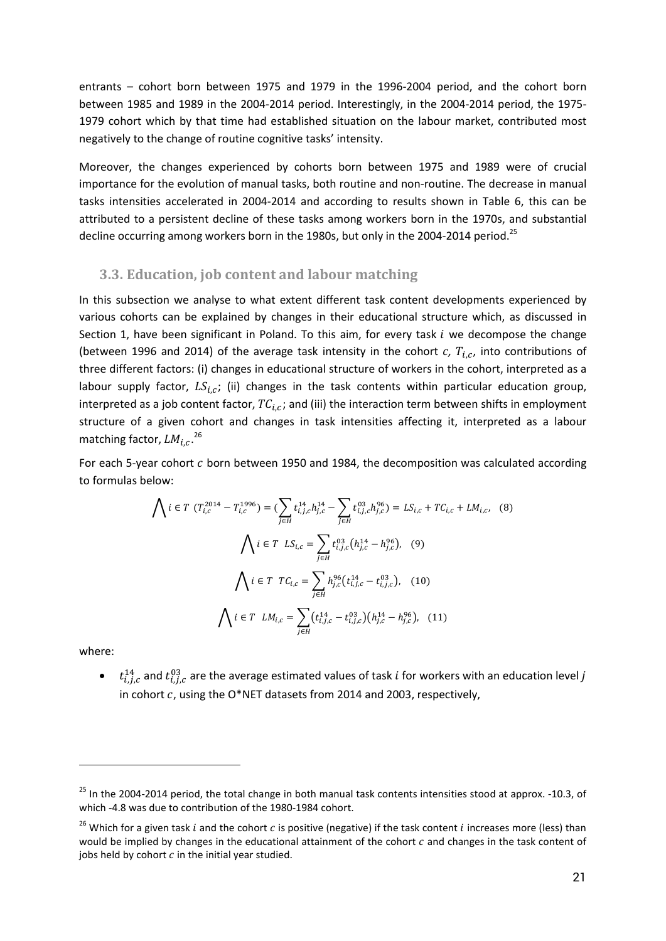entrants – cohort born between 1975 and 1979 in the 1996-2004 period, and the cohort born between 1985 and 1989 in the 2004-2014 period. Interestingly, in the 2004-2014 period, the 1975- 1979 cohort which by that time had established situation on the labour market, contributed most negatively to the change of routine cognitive tasks' intensity.

Moreover, the changes experienced by cohorts born between 1975 and 1989 were of crucial importance for the evolution of manual tasks, both routine and non-routine. The decrease in manual tasks intensities accelerated in 2004-2014 and according to results shown in Table 6, this can be attributed to a persistent decline of these tasks among workers born in the 1970s, and substantial decline occurring among workers born in the 1980s, but only in the 2004-2014 period.<sup>25</sup>

#### **3.3. Education, job content and labour matching**

In this subsection we analyse to what extent different task content developments experienced by various cohorts can be explained by changes in their educational structure which, as discussed in Section 1, have been significant in Poland. To this aim, for every task  $i$  we decompose the change (between 1996 and 2014) of the average task intensity in the cohort  $c$ ,  $T_{i,c}$ , into contributions of three different factors: (i) changes in educational structure of workers in the cohort, interpreted as a labour supply factor,  $LS_{i,c}$ ; (ii) changes in the task contents within particular education group, interpreted as a job content factor,  $TC_{i,c}$ ; and (iii) the interaction term between shifts in employment structure of a given cohort and changes in task intensities affecting it, interpreted as a labour matching factor,  $LM_{i,c}.^{26}$ 

For each 5-year cohort  $c$  born between 1950 and 1984, the decomposition was calculated according to formulas below:

$$
\bigwedge i \in T \ (T_{i,c}^{2014} - T_{i,c}^{1996}) = \left(\sum_{j \in H} t_{i,j,c}^{14} h_{j,c}^{14} - \sum_{j \in H} t_{i,j,c}^{03} h_{j,c}^{96}\right) = LS_{i,c} + TC_{i,c} + LM_{i,c}, \tag{8}
$$
\n
$$
\bigwedge i \in T \ LS_{i,c} = \sum_{j \in H} t_{i,j,c}^{03} \left(h_{j,c}^{14} - h_{j,c}^{96}\right), \tag{9}
$$
\n
$$
\bigwedge i \in T \ TC_{i,c} = \sum_{j \in H} h_{j,c}^{96} \left(t_{i,j,c}^{14} - t_{i,j,c}^{03}\right), \tag{10}
$$
\n
$$
\bigwedge i \in T \ LM_{i,c} = \sum_{j \in H} \left(t_{i,j,c}^{14} - t_{i,j,c}^{03}\right) \left(h_{j,c}^{14} - h_{j,c}^{96}\right), \tag{11}
$$

where:

 $\overline{a}$ 

 $\bullet$   $t_{i,j,c}^{14}$  and  $t_{i,j,c}^{03}$  are the average estimated values of task *i* for workers with an education level *j* in cohort  $c$ , using the O\*NET datasets from 2014 and 2003, respectively,

<sup>&</sup>lt;sup>25</sup> In the 2004-2014 period, the total change in both manual task contents intensities stood at approx. -10.3, of which -4.8 was due to contribution of the 1980-1984 cohort.

<sup>&</sup>lt;sup>26</sup> Which for a given task *i* and the cohort *c* is positive (negative) if the task content *i* increases more (less) than would be implied by changes in the educational attainment of the cohort  $c$  and changes in the task content of jobs held by cohort  $c$  in the initial year studied.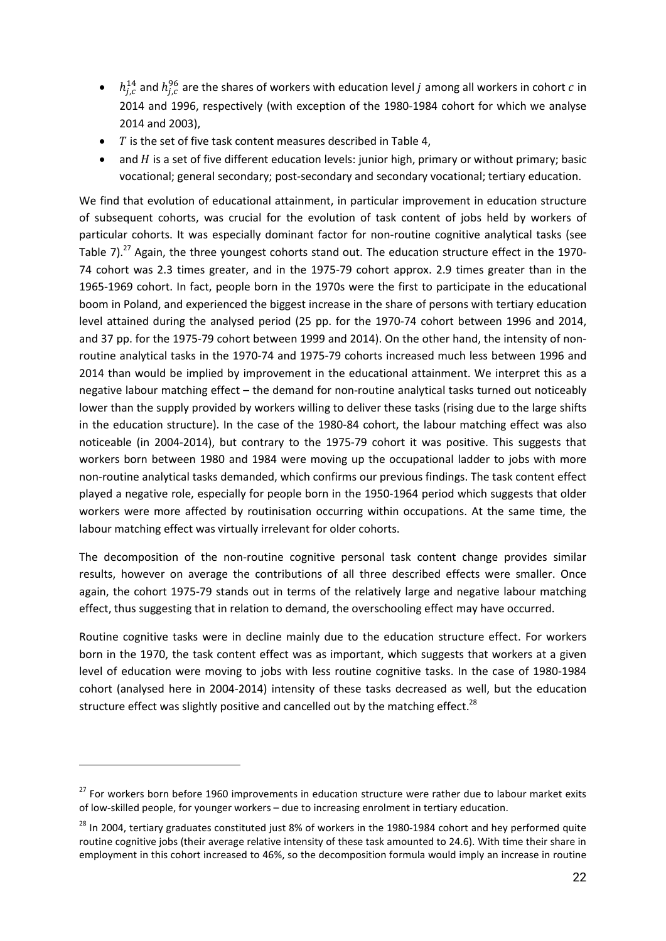- $h_{j,c}^{14}$  and  $h_{j,c}^{96}$  are the shares of workers with education level j among all workers in cohort c in 2014 and 1996, respectively (with exception of the 1980-1984 cohort for which we analyse 2014 and 2003),
- $\bullet$  T is the set of five task content measures described in Table 4,
- and  $H$  is a set of five different education levels: junior high, primary or without primary; basic vocational; general secondary; post-secondary and secondary vocational; tertiary education.

We find that evolution of educational attainment, in particular improvement in education structure of subsequent cohorts, was crucial for the evolution of task content of jobs held by workers of particular cohorts. It was especially dominant factor for non-routine cognitive analytical tasks (see Table 7).<sup>27</sup> Again, the three youngest cohorts stand out. The education structure effect in the 1970-74 cohort was 2.3 times greater, and in the 1975-79 cohort approx. 2.9 times greater than in the 1965-1969 cohort. In fact, people born in the 1970s were the first to participate in the educational boom in Poland, and experienced the biggest increase in the share of persons with tertiary education level attained during the analysed period (25 pp. for the 1970-74 cohort between 1996 and 2014, and 37 pp. for the 1975-79 cohort between 1999 and 2014). On the other hand, the intensity of nonroutine analytical tasks in the 1970-74 and 1975-79 cohorts increased much less between 1996 and 2014 than would be implied by improvement in the educational attainment. We interpret this as a negative labour matching effect – the demand for non-routine analytical tasks turned out noticeably lower than the supply provided by workers willing to deliver these tasks (rising due to the large shifts in the education structure). In the case of the 1980-84 cohort, the labour matching effect was also noticeable (in 2004-2014), but contrary to the 1975-79 cohort it was positive. This suggests that workers born between 1980 and 1984 were moving up the occupational ladder to jobs with more non-routine analytical tasks demanded, which confirms our previous findings. The task content effect played a negative role, especially for people born in the 1950-1964 period which suggests that older workers were more affected by routinisation occurring within occupations. At the same time, the labour matching effect was virtually irrelevant for older cohorts.

The decomposition of the non-routine cognitive personal task content change provides similar results, however on average the contributions of all three described effects were smaller. Once again, the cohort 1975-79 stands out in terms of the relatively large and negative labour matching effect, thus suggesting that in relation to demand, the overschooling effect may have occurred.

Routine cognitive tasks were in decline mainly due to the education structure effect. For workers born in the 1970, the task content effect was as important, which suggests that workers at a given level of education were moving to jobs with less routine cognitive tasks. In the case of 1980-1984 cohort (analysed here in 2004-2014) intensity of these tasks decreased as well, but the education structure effect was slightly positive and cancelled out by the matching effect.<sup>28</sup>

 $\overline{a}$ 

<sup>&</sup>lt;sup>27</sup> For workers born before 1960 improvements in education structure were rather due to labour market exits of low-skilled people, for younger workers – due to increasing enrolment in tertiary education.

<sup>&</sup>lt;sup>28</sup> In 2004, tertiary graduates constituted just 8% of workers in the 1980-1984 cohort and hey performed quite routine cognitive jobs (their average relative intensity of these task amounted to 24.6). With time their share in employment in this cohort increased to 46%, so the decomposition formula would imply an increase in routine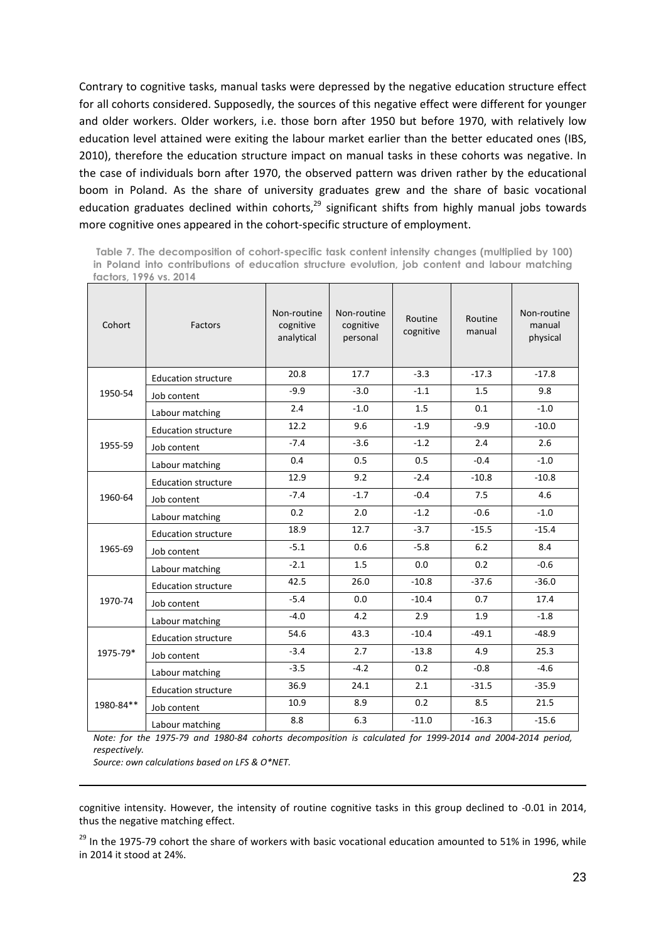Contrary to cognitive tasks, manual tasks were depressed by the negative education structure effect for all cohorts considered. Supposedly, the sources of this negative effect were different for younger and older workers. Older workers, i.e. those born after 1950 but before 1970, with relatively low education level attained were exiting the labour market earlier than the better educated ones (IBS, 2010), therefore the education structure impact on manual tasks in these cohorts was negative. In the case of individuals born after 1970, the observed pattern was driven rather by the educational boom in Poland. As the share of university graduates grew and the share of basic vocational education graduates declined within cohorts, $^{29}$  significant shifts from highly manual jobs towards more cognitive ones appeared in the cohort-specific structure of employment.

Table 7. The decomposition of cohort-specific task content intensity changes (multiplied by 100) in Poland into contributions of education structure evolution, job content and labour matching factors, 1996 vs. 2014

| Cohort    | Factors                    | Non-routine<br>cognitive<br>analytical | Non-routine<br>cognitive<br>personal | Routine<br>cognitive | Routine<br>manual | Non-routine<br>manual<br>physical |
|-----------|----------------------------|----------------------------------------|--------------------------------------|----------------------|-------------------|-----------------------------------|
|           | <b>Education structure</b> | 20.8                                   | 17.7                                 | $-3.3$               | $-17.3$           | $-17.8$                           |
| 1950-54   | Job content                | $-9.9$                                 | $-3.0$                               | $-1.1$               | 1.5               | 9.8                               |
|           | Labour matching            | 2.4                                    | $-1.0$                               | 1.5                  | 0.1               | $-1.0$                            |
|           | <b>Education structure</b> | 12.2                                   | 9.6                                  | $-1.9$               | $-9.9$            | $-10.0$                           |
| 1955-59   | Job content                | $-7.4$                                 | $-3.6$                               | $-1.2$               | 2.4               | 2.6                               |
|           | Labour matching            | 0.4                                    | 0.5                                  | 0.5                  | $-0.4$            | $-1.0$                            |
|           | <b>Education structure</b> | 12.9                                   | 9.2                                  | $-2.4$               | $-10.8$           | $-10.8$                           |
| 1960-64   | Job content                | $-7.4$                                 | $-1.7$                               | $-0.4$               | 7.5               | 4.6                               |
|           | Labour matching            | 0.2                                    | 2.0                                  | $-1.2$               | $-0.6$            | $-1.0$                            |
|           | <b>Education structure</b> | 18.9                                   | 12.7                                 | $-3.7$               | $-15.5$           | $-15.4$                           |
| 1965-69   | Job content                | $-5.1$                                 | 0.6                                  | $-5.8$               | 6.2               | 8.4                               |
|           | Labour matching            | $-2.1$                                 | 1.5                                  | 0.0                  | 0.2               | $-0.6$                            |
|           | <b>Education structure</b> | 42.5                                   | 26.0                                 | $-10.8$              | $-37.6$           | $-36.0$                           |
| 1970-74   | Job content                | $-5.4$                                 | 0.0                                  | $-10.4$              | 0.7               | 17.4                              |
|           | Labour matching            | $-4.0$                                 | 4.2                                  | 2.9                  | 1.9               | $-1.8$                            |
|           | <b>Education structure</b> | 54.6                                   | 43.3                                 | $-10.4$              | $-49.1$           | $-48.9$                           |
| 1975-79*  | Job content                | $-3.4$                                 | 2.7                                  | $-13.8$              | 4.9               | 25.3                              |
|           | Labour matching            | $-3.5$                                 | $-4.2$                               | 0.2                  | $-0.8$            | $-4.6$                            |
|           | <b>Education structure</b> | 36.9                                   | 24.1                                 | 2.1                  | $-31.5$           | $-35.9$                           |
| 1980-84** | Job content                | 10.9                                   | 8.9                                  | 0.2                  | 8.5               | 21.5                              |
|           | Labour matching            | 8.8                                    | 6.3                                  | $-11.0$              | $-16.3$           | $-15.6$                           |

*Note: for the 1975-79 and 1980-84 cohorts decomposition is calculated for 1999-2014 and 2004-2014 period, respectively.*

*Source: own calculations based on LFS & O\*NET.*

 $\overline{a}$ 

cognitive intensity. However, the intensity of routine cognitive tasks in this group declined to -0.01 in 2014, thus the negative matching effect.

<sup>29</sup> In the 1975-79 cohort the share of workers with basic vocational education amounted to 51% in 1996, while in 2014 it stood at 24%.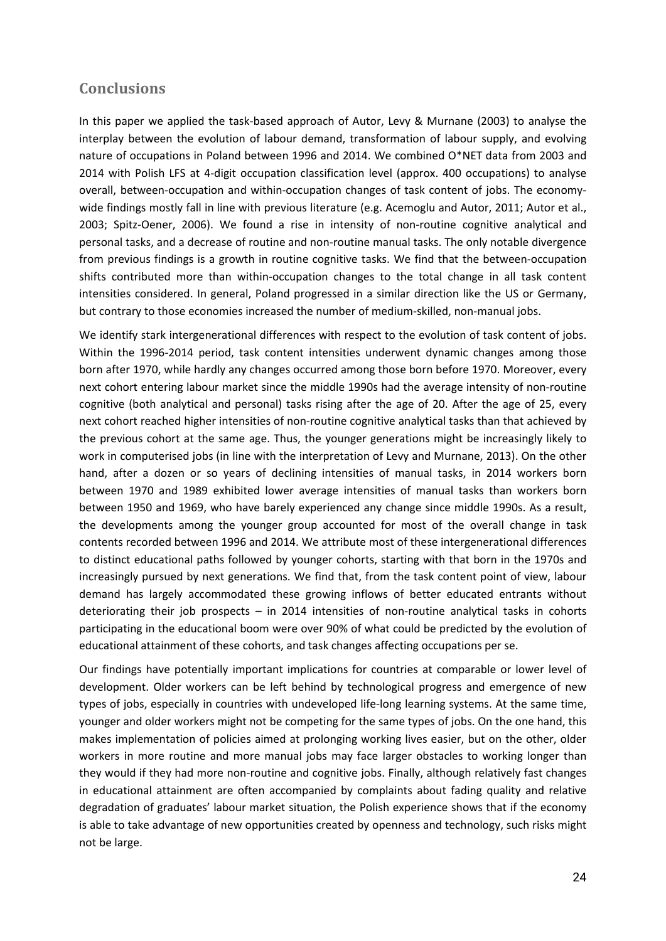### **Conclusions**

In this paper we applied the task-based approach of Autor, Levy & Murnane (2003) to analyse the interplay between the evolution of labour demand, transformation of labour supply, and evolving nature of occupations in Poland between 1996 and 2014. We combined O\*NET data from 2003 and 2014 with Polish LFS at 4-digit occupation classification level (approx. 400 occupations) to analyse overall, between-occupation and within-occupation changes of task content of jobs. The economywide findings mostly fall in line with previous literature (e.g. Acemoglu and Autor, 2011; Autor et al., 2003; Spitz-Oener, 2006). We found a rise in intensity of non-routine cognitive analytical and personal tasks, and a decrease of routine and non-routine manual tasks. The only notable divergence from previous findings is a growth in routine cognitive tasks. We find that the between-occupation shifts contributed more than within-occupation changes to the total change in all task content intensities considered. In general, Poland progressed in a similar direction like the US or Germany, but contrary to those economies increased the number of medium-skilled, non-manual jobs.

We identify stark intergenerational differences with respect to the evolution of task content of jobs. Within the 1996-2014 period, task content intensities underwent dynamic changes among those born after 1970, while hardly any changes occurred among those born before 1970. Moreover, every next cohort entering labour market since the middle 1990s had the average intensity of non-routine cognitive (both analytical and personal) tasks rising after the age of 20. After the age of 25, every next cohort reached higher intensities of non-routine cognitive analytical tasks than that achieved by the previous cohort at the same age. Thus, the younger generations might be increasingly likely to work in computerised jobs (in line with the interpretation of Levy and Murnane, 2013). On the other hand, after a dozen or so years of declining intensities of manual tasks, in 2014 workers born between 1970 and 1989 exhibited lower average intensities of manual tasks than workers born between 1950 and 1969, who have barely experienced any change since middle 1990s. As a result, the developments among the younger group accounted for most of the overall change in task contents recorded between 1996 and 2014. We attribute most of these intergenerational differences to distinct educational paths followed by younger cohorts, starting with that born in the 1970s and increasingly pursued by next generations. We find that, from the task content point of view, labour demand has largely accommodated these growing inflows of better educated entrants without deteriorating their job prospects – in 2014 intensities of non-routine analytical tasks in cohorts participating in the educational boom were over 90% of what could be predicted by the evolution of educational attainment of these cohorts, and task changes affecting occupations per se.

Our findings have potentially important implications for countries at comparable or lower level of development. Older workers can be left behind by technological progress and emergence of new types of jobs, especially in countries with undeveloped life-long learning systems. At the same time, younger and older workers might not be competing for the same types of jobs. On the one hand, this makes implementation of policies aimed at prolonging working lives easier, but on the other, older workers in more routine and more manual jobs may face larger obstacles to working longer than they would if they had more non-routine and cognitive jobs. Finally, although relatively fast changes in educational attainment are often accompanied by complaints about fading quality and relative degradation of graduates' labour market situation, the Polish experience shows that if the economy is able to take advantage of new opportunities created by openness and technology, such risks might not be large.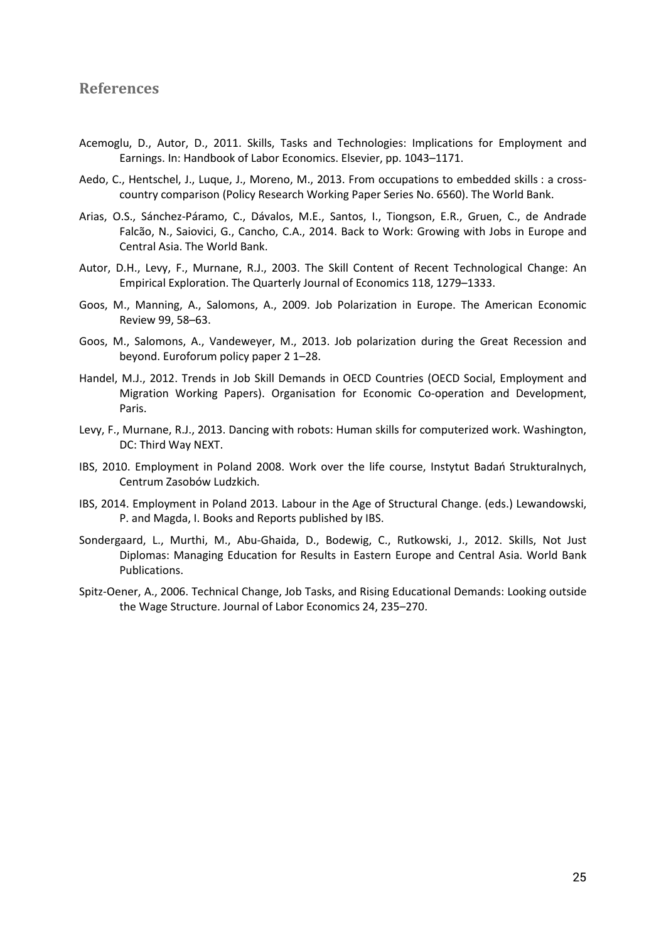#### **References**

- Acemoglu, D., Autor, D., 2011. Skills, Tasks and Technologies: Implications for Employment and Earnings. In: Handbook of Labor Economics. Elsevier, pp. 1043–1171.
- Aedo, C., Hentschel, J., Luque, J., Moreno, M., 2013. From occupations to embedded skills : a crosscountry comparison (Policy Research Working Paper Series No. 6560). The World Bank.
- Arias, O.S., Sánchez-Páramo, C., Dávalos, M.E., Santos, I., Tiongson, E.R., Gruen, C., de Andrade Falcão, N., Saiovici, G., Cancho, C.A., 2014. Back to Work: Growing with Jobs in Europe and Central Asia. The World Bank.
- Autor, D.H., Levy, F., Murnane, R.J., 2003. The Skill Content of Recent Technological Change: An Empirical Exploration. The Quarterly Journal of Economics 118, 1279–1333.
- Goos, M., Manning, A., Salomons, A., 2009. Job Polarization in Europe. The American Economic Review 99, 58–63.
- Goos, M., Salomons, A., Vandeweyer, M., 2013. Job polarization during the Great Recession and beyond. Euroforum policy paper 2 1–28.
- Handel, M.J., 2012. Trends in Job Skill Demands in OECD Countries (OECD Social, Employment and Migration Working Papers). Organisation for Economic Co-operation and Development, Paris.
- Levy, F., Murnane, R.J., 2013. Dancing with robots: Human skills for computerized work. Washington, DC: Third Way NEXT.
- IBS, 2010. Employment in Poland 2008. Work over the life course, Instytut Badań Strukturalnych, Centrum Zasobów Ludzkich.
- IBS, 2014. Employment in Poland 2013. Labour in the Age of Structural Change. (eds.) Lewandowski, P. and Magda, I. Books and Reports published by IBS.
- Sondergaard, L., Murthi, M., Abu-Ghaida, D., Bodewig, C., Rutkowski, J., 2012. Skills, Not Just Diplomas: Managing Education for Results in Eastern Europe and Central Asia. World Bank Publications.
- Spitz-Oener, A., 2006. Technical Change, Job Tasks, and Rising Educational Demands: Looking outside the Wage Structure. Journal of Labor Economics 24, 235–270.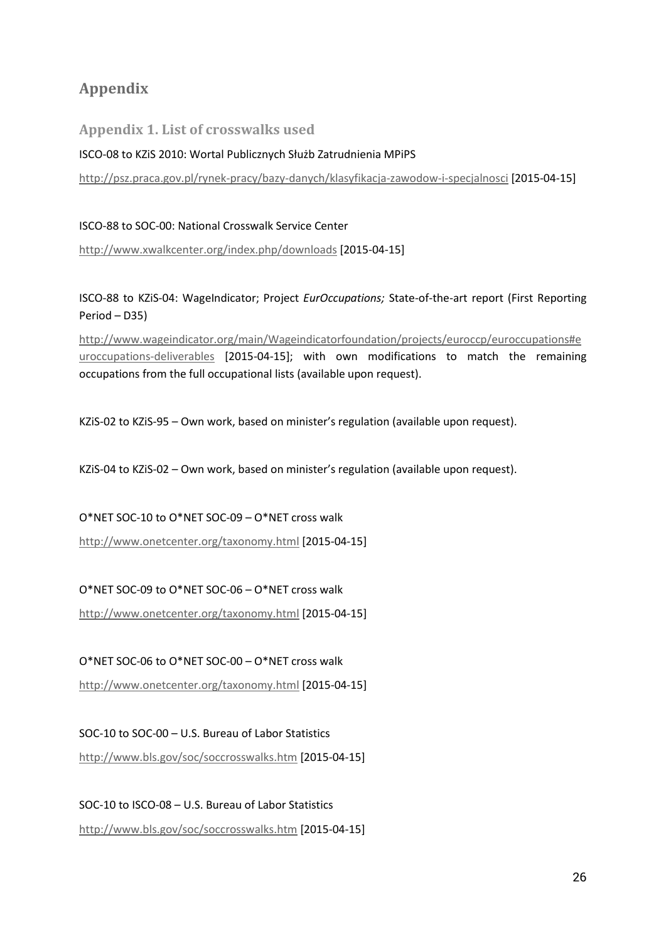## **Appendix**

**Appendix 1. List of crosswalks used**

#### ISCO-08 to KZiS 2010: Wortal Publicznych Służb Zatrudnienia MPiPS

http://psz.praca.gov.pl/rynek-pracy/bazy-danych/klasyfikacja-zawodow-i-specjalnosci [2015-04-15]

#### ISCO-88 to SOC-00: National Crosswalk Service Center

http://www.xwalkcenter.org/index.php/downloads [2015-04-15]

ISCO-88 to KZiS-04: WageIndicator; Project *EurOccupations;* State-of-the-art report (First Reporting Period – D35)

http://www.wageindicator.org/main/Wageindicatorfoundation/projects/euroccp/euroccupations#e uroccupations-deliverables [2015-04-15]; with own modifications to match the remaining occupations from the full occupational lists (available upon request).

KZiS-02 to KZiS-95 – Own work, based on minister's regulation (available upon request).

KZiS-04 to KZiS-02 – Own work, based on minister's regulation (available upon request).

O\*NET SOC-10 to O\*NET SOC-09 – O\*NET cross walk

http://www.onetcenter.org/taxonomy.html [2015-04-15]

#### O\*NET SOC-09 to O\*NET SOC-06 – O\*NET cross walk

http://www.onetcenter.org/taxonomy.html [2015-04-15]

O\*NET SOC-06 to O\*NET SOC-00 – O\*NET cross walk

http://www.onetcenter.org/taxonomy.html [2015-04-15]

SOC-10 to SOC-00 – U.S. Bureau of Labor Statistics http://www.bls.gov/soc/soccrosswalks.htm [2015-04-15]

SOC-10 to ISCO-08 – U.S. Bureau of Labor Statistics http://www.bls.gov/soc/soccrosswalks.htm [2015-04-15]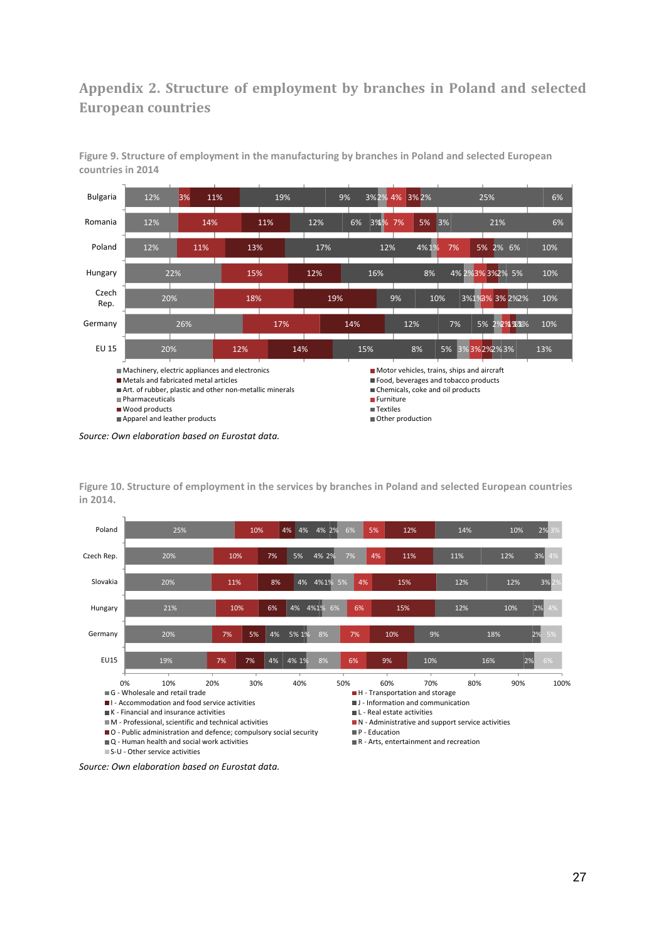## **Appendix 2. Structure of employment by branches in Poland and selected European countries**



**Figure 9. Structure of employment in the manufacturing by branches in Poland and selected European countries in 2014**

*Source: Own elaboration based on Eurostat data.*

**Figure 10. Structure of employment in the services by branches in Poland and selected European countries in 2014.**



*Source: Own elaboration based on Eurostat data.*